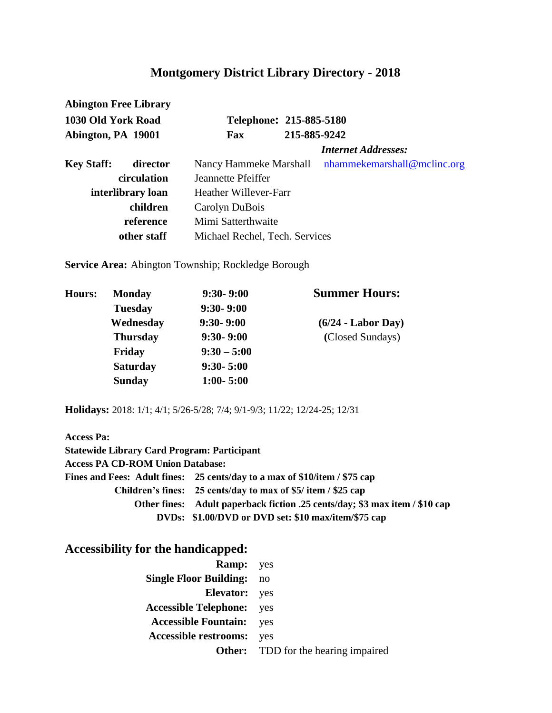| <b>Abington Free Library</b>             |             |                                |                             |  |
|------------------------------------------|-------------|--------------------------------|-----------------------------|--|
| 1030 Old York Road<br>Abington, PA 19001 |             | Telephone: 215-885-5180        |                             |  |
|                                          |             | Fax                            | 215-885-9242                |  |
|                                          |             |                                | <b>Internet Addresses:</b>  |  |
| <b>Key Staff:</b>                        | director    | Nancy Hammeke Marshall         | nhammekemarshall@mclinc.org |  |
|                                          | circulation | Jeannette Pfeiffer             |                             |  |
| interlibrary loan                        |             | Heather Willever-Farr          |                             |  |
|                                          | children    | Carolyn DuBois                 |                             |  |
| reference                                |             | Mimi Satterthwaite             |                             |  |
| other staff                              |             | Michael Rechel, Tech. Services |                             |  |

**Service Area:** Abington Township; Rockledge Borough

| <b>Monday</b>   | $9:30 - 9:00$ | <b>Summer Hours:</b>         |
|-----------------|---------------|------------------------------|
| <b>Tuesday</b>  | $9:30 - 9:00$ |                              |
| Wednesday       | $9:30 - 9:00$ | $(6/24 - \text{ Labor Day})$ |
| <b>Thursday</b> | $9:30 - 9:00$ | (Closed Sundays)             |
| Friday          | $9:30 - 5:00$ |                              |
| <b>Saturday</b> | $9:30 - 5:00$ |                              |
| <b>Sunday</b>   | $1:00 - 5:00$ |                              |
|                 |               |                              |

**Holidays:** 2018: 1/1; 4/1; 5/26-5/28; 7/4; 9/1-9/3; 11/22; 12/24-25; 12/31

| <b>Access Pa:</b>                                  |                                                                             |
|----------------------------------------------------|-----------------------------------------------------------------------------|
| <b>Statewide Library Card Program: Participant</b> |                                                                             |
| <b>Access PA CD-ROM Union Database:</b>            |                                                                             |
|                                                    | Fines and Fees: Adult fines: 25 cents/day to a max of \$10/item / \$75 cap  |
|                                                    | Children's fines: 25 cents/day to max of \$5/ item / \$25 cap               |
|                                                    | Other fines: Adult paperback fiction .25 cents/day; \$3 max item / \$10 cap |
|                                                    | DVDs: \$1.00/DVD or DVD set: \$10 max/item/\$75 cap                         |

| <b>Ramp:</b> yes                 |                                            |
|----------------------------------|--------------------------------------------|
| <b>Single Floor Building:</b>    | no                                         |
| <b>Elevator:</b> yes             |                                            |
| <b>Accessible Telephone:</b> yes |                                            |
| <b>Accessible Fountain:</b>      | yes                                        |
| <b>Accessible restrooms:</b> yes |                                            |
|                                  | <b>Other:</b> TDD for the hearing impaired |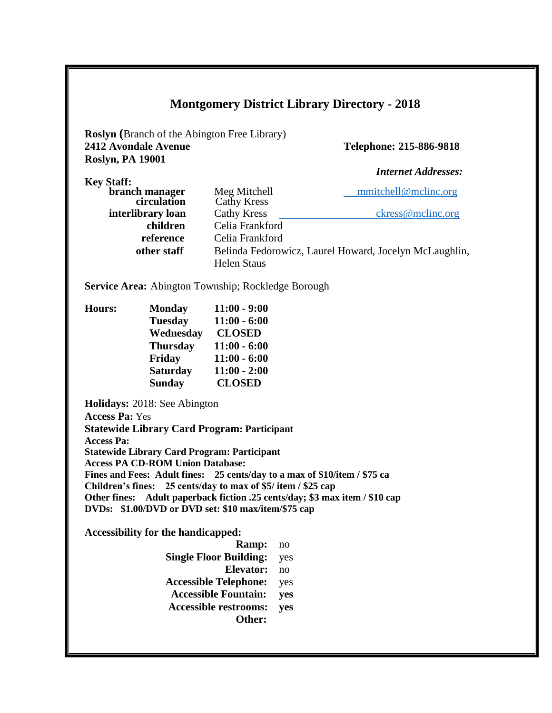**Roslyn (**Branch of the Abington Free Library) **2412 Avondale Avenue Telephone: 215-886-9818 Roslyn, PA 19001** 

**Key Staff:** 

 *Internet Addresses:*

| кеу әіап:         |                    |                                                        |
|-------------------|--------------------|--------------------------------------------------------|
| branch manager    | Meg Mitchell       | mmitchell@mclinc.org                                   |
| circulation       | Cathy Kress        |                                                        |
| interlibrary loan | <b>Cathy Kress</b> | ckress@mclinc.org                                      |
| children          | Celia Frankford    |                                                        |
| reference         | Celia Frankford    |                                                        |
| other staff       |                    | Belinda Fedorowicz, Laurel Howard, Jocelyn McLaughlin, |
|                   | <b>Helen Staus</b> |                                                        |

**Service Area:** Abington Township; Rockledge Borough

| <b>Monday</b>   | $11:00 - 9:00$ |
|-----------------|----------------|
| <b>Tuesday</b>  | $11:00 - 6:00$ |
| Wednesday       | <b>CLOSED</b>  |
| <b>Thursday</b> | $11:00 - 6:00$ |
| Friday          | $11:00 - 6:00$ |
| <b>Saturday</b> | $11:00 - 2:00$ |
| <b>Sunday</b>   | <b>CLOSED</b>  |
|                 |                |

**Holidays:** 2018: See Abington **Access Pa:** Yes **Statewide Library Card Program: Participant Access Pa: Statewide Library Card Program: Participant Access PA CD-ROM Union Database: Fines and Fees: Adult fines: 25 cents/day to a max of \$10/item / \$75 ca Children's fines: 25 cents/day to max of \$5/ item / \$25 cap Other fines: Adult paperback fiction .25 cents/day; \$3 max item / \$10 cap DVDs: \$1.00/DVD or DVD set: \$10 max/item/\$75 cap** 

| <b>Ramp:</b>                  | no  |
|-------------------------------|-----|
| <b>Single Floor Building:</b> | yes |
| Elevator:                     | no  |
| <b>Accessible Telephone:</b>  | yes |
| <b>Accessible Fountain:</b>   | ves |
| <b>Accessible restrooms:</b>  | yes |
| Other:                        |     |
|                               |     |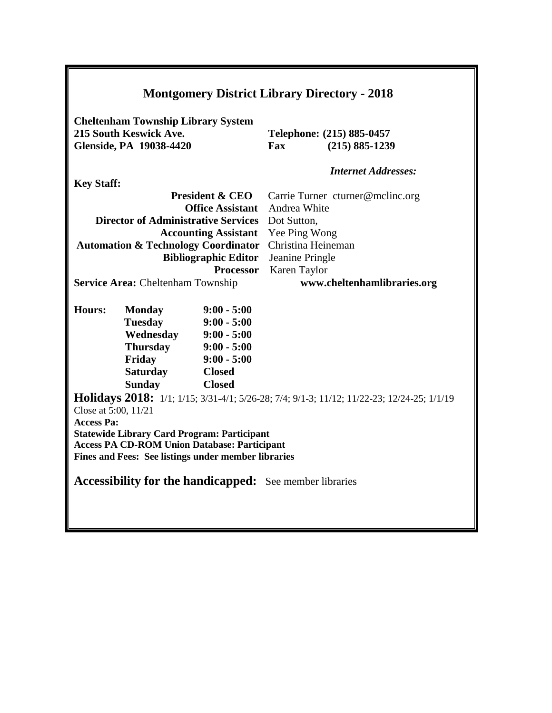| <b>Montgomery District Library Directory - 2018</b>                                                   |                                                                                                                                                                                                                                                                                   |                                                                                                                                         |                                                                                                                                                                          |
|-------------------------------------------------------------------------------------------------------|-----------------------------------------------------------------------------------------------------------------------------------------------------------------------------------------------------------------------------------------------------------------------------------|-----------------------------------------------------------------------------------------------------------------------------------------|--------------------------------------------------------------------------------------------------------------------------------------------------------------------------|
| <b>Cheltenham Township Library System</b><br>215 South Keswick Ave.<br><b>Glenside, PA 19038-4420</b> |                                                                                                                                                                                                                                                                                   |                                                                                                                                         | Telephone: (215) 885-0457<br>Fax<br>$(215) 885 - 1239$                                                                                                                   |
|                                                                                                       |                                                                                                                                                                                                                                                                                   |                                                                                                                                         | <b>Internet Addresses:</b>                                                                                                                                               |
| <b>Key Staff:</b>                                                                                     | <b>Director of Administrative Services</b><br><b>Automation &amp; Technology Coordinator</b><br><b>Service Area: Cheltenham Township</b>                                                                                                                                          | <b>President &amp; CEO</b><br><b>Office Assistant</b><br><b>Accounting Assistant</b><br><b>Bibliographic Editor</b><br><b>Processor</b> | Carrie Turner cturner@mclinc.org<br>Andrea White<br>Dot Sutton,<br>Yee Ping Wong<br>Christina Heineman<br>Jeanine Pringle<br>Karen Taylor<br>www.cheltenhamlibraries.org |
| <b>Hours:</b><br>Close at 5:00, 11/21<br><b>Access Pa:</b>                                            | <b>Monday</b><br><b>Tuesday</b><br>Wednesday<br><b>Thursday</b><br>Friday<br><b>Saturday</b><br><b>Sunday</b><br><b>Statewide Library Card Program: Participant</b><br><b>Access PA CD-ROM Union Database: Participant</b><br>Fines and Fees: See listings under member libraries | $9:00 - 5:00$<br>$9:00 - 5:00$<br>$9:00 - 5:00$<br>$9:00 - 5:00$<br>$9:00 - 5:00$<br><b>Closed</b><br><b>Closed</b>                     | Holidays 2018: 1/1; 1/15; 3/31-4/1; 5/26-28; 7/4; 9/1-3; 11/12; 11/22-23; 12/24-25; 1/1/19<br><b>Accessibility for the handicapped:</b> See member libraries             |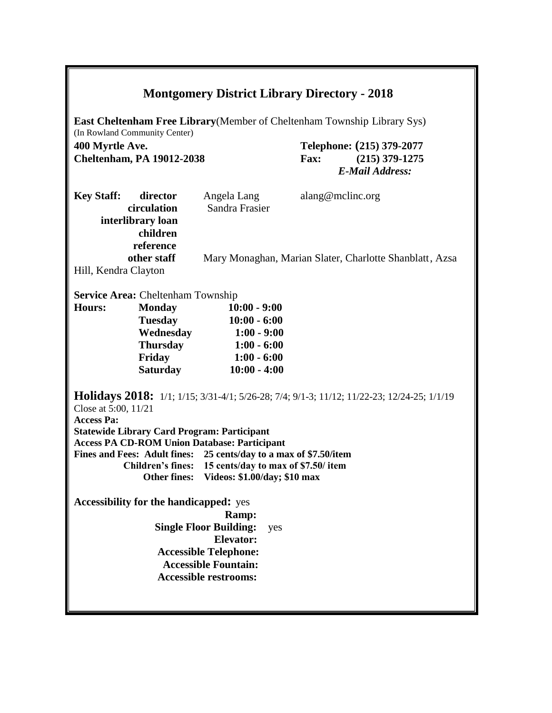| <b>Montgomery District Library Directory - 2018</b>                                                                                                                                                                                                                                                                                                                                                                                                                                                                                                                                                                                                                                              |                                                         |  |  |  |
|--------------------------------------------------------------------------------------------------------------------------------------------------------------------------------------------------------------------------------------------------------------------------------------------------------------------------------------------------------------------------------------------------------------------------------------------------------------------------------------------------------------------------------------------------------------------------------------------------------------------------------------------------------------------------------------------------|---------------------------------------------------------|--|--|--|
| <b>East Cheltenham Free Library</b> (Member of Cheltenham Township Library Sys)<br>(In Rowland Community Center)                                                                                                                                                                                                                                                                                                                                                                                                                                                                                                                                                                                 |                                                         |  |  |  |
| 400 Myrtle Ave.                                                                                                                                                                                                                                                                                                                                                                                                                                                                                                                                                                                                                                                                                  | Telephone: (215) 379-2077                               |  |  |  |
| <b>Cheltenham, PA 19012-2038</b>                                                                                                                                                                                                                                                                                                                                                                                                                                                                                                                                                                                                                                                                 | Fax:<br>$(215)$ 379-1275                                |  |  |  |
|                                                                                                                                                                                                                                                                                                                                                                                                                                                                                                                                                                                                                                                                                                  | <b>E-Mail Address:</b>                                  |  |  |  |
|                                                                                                                                                                                                                                                                                                                                                                                                                                                                                                                                                                                                                                                                                                  |                                                         |  |  |  |
| <b>Key Staff:</b><br>director<br>Angela Lang                                                                                                                                                                                                                                                                                                                                                                                                                                                                                                                                                                                                                                                     | alang@mclinc.org                                        |  |  |  |
| Sandra Frasier<br>circulation                                                                                                                                                                                                                                                                                                                                                                                                                                                                                                                                                                                                                                                                    |                                                         |  |  |  |
| interlibrary loan                                                                                                                                                                                                                                                                                                                                                                                                                                                                                                                                                                                                                                                                                |                                                         |  |  |  |
| children                                                                                                                                                                                                                                                                                                                                                                                                                                                                                                                                                                                                                                                                                         |                                                         |  |  |  |
| reference                                                                                                                                                                                                                                                                                                                                                                                                                                                                                                                                                                                                                                                                                        |                                                         |  |  |  |
| other staff                                                                                                                                                                                                                                                                                                                                                                                                                                                                                                                                                                                                                                                                                      | Mary Monaghan, Marian Slater, Charlotte Shanblatt, Azsa |  |  |  |
| Hill, Kendra Clayton                                                                                                                                                                                                                                                                                                                                                                                                                                                                                                                                                                                                                                                                             |                                                         |  |  |  |
|                                                                                                                                                                                                                                                                                                                                                                                                                                                                                                                                                                                                                                                                                                  |                                                         |  |  |  |
| <b>Service Area: Cheltenham Township</b>                                                                                                                                                                                                                                                                                                                                                                                                                                                                                                                                                                                                                                                         |                                                         |  |  |  |
| <b>Hours:</b>                                                                                                                                                                                                                                                                                                                                                                                                                                                                                                                                                                                                                                                                                    |                                                         |  |  |  |
| <b>Monday</b><br>$10:00 - 9:00$                                                                                                                                                                                                                                                                                                                                                                                                                                                                                                                                                                                                                                                                  |                                                         |  |  |  |
| <b>Tuesday</b><br>$10:00 - 6:00$                                                                                                                                                                                                                                                                                                                                                                                                                                                                                                                                                                                                                                                                 |                                                         |  |  |  |
| Wednesday<br>$1:00 - 9:00$                                                                                                                                                                                                                                                                                                                                                                                                                                                                                                                                                                                                                                                                       |                                                         |  |  |  |
| <b>Thursday</b><br>$1:00 - 6:00$                                                                                                                                                                                                                                                                                                                                                                                                                                                                                                                                                                                                                                                                 |                                                         |  |  |  |
| Friday<br>$1:00 - 6:00$                                                                                                                                                                                                                                                                                                                                                                                                                                                                                                                                                                                                                                                                          |                                                         |  |  |  |
|                                                                                                                                                                                                                                                                                                                                                                                                                                                                                                                                                                                                                                                                                                  |                                                         |  |  |  |
| <b>Saturday</b><br>$10:00 - 4:00$<br><b>Holidays 2018:</b> 1/1; 1/15; 3/31-4/1; 5/26-28; 7/4; 9/1-3; 11/12; 11/22-23; 12/24-25; 1/1/19<br>Close at 5:00, 11/21<br><b>Access Pa:</b><br><b>Statewide Library Card Program: Participant</b><br><b>Access PA CD-ROM Union Database: Participant</b><br>Fines and Fees: Adult fines: 25 cents/day to a max of \$7.50/item<br>Children's fines: 15 cents/day to max of \$7.50/ item<br>Other fines: Videos: \$1.00/day; \$10 max<br><b>Accessibility for the handicapped:</b> yes<br>Ramp:<br><b>Single Floor Building:</b><br>yes<br><b>Elevator:</b><br><b>Accessible Telephone:</b><br><b>Accessible Fountain:</b><br><b>Accessible restrooms:</b> |                                                         |  |  |  |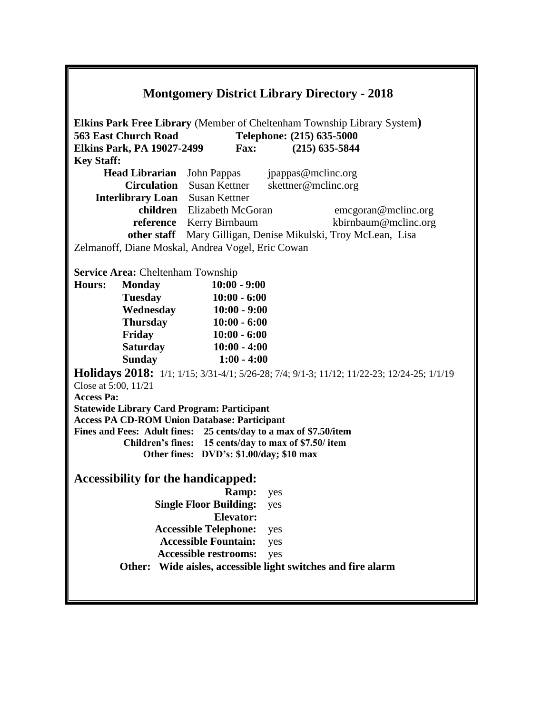| <b>Montgomery District Library Directory - 2018</b> |                                                       |                                                                   |                           |                                                                                            |  |
|-----------------------------------------------------|-------------------------------------------------------|-------------------------------------------------------------------|---------------------------|--------------------------------------------------------------------------------------------|--|
|                                                     |                                                       |                                                                   |                           | <b>Elkins Park Free Library</b> (Member of Cheltenham Township Library System)             |  |
|                                                     | <b>563 East Church Road</b>                           |                                                                   | Telephone: (215) 635-5000 |                                                                                            |  |
|                                                     | <b>Elkins Park, PA 19027-2499</b>                     | <b>Fax:</b>                                                       |                           | $(215)$ 635-5844                                                                           |  |
| <b>Key Staff:</b>                                   |                                                       |                                                                   |                           |                                                                                            |  |
|                                                     | <b>Head Librarian</b>                                 | John Pappas                                                       | jpappas@mclinc.org        |                                                                                            |  |
|                                                     |                                                       | <b>Circulation</b> Susan Kettner                                  | skettner@mclinc.org       |                                                                                            |  |
|                                                     |                                                       | <b>Interlibrary Loan</b> Susan Kettner                            |                           |                                                                                            |  |
|                                                     |                                                       | children Elizabeth McGoran                                        |                           | emcgoran@mclinc.org                                                                        |  |
|                                                     |                                                       | reference Kerry Birnbaum                                          |                           | kbirnbaum@mclinc.org                                                                       |  |
|                                                     | other staff                                           |                                                                   |                           | Mary Gilligan, Denise Mikulski, Troy McLean, Lisa                                          |  |
|                                                     |                                                       | Zelmanoff, Diane Moskal, Andrea Vogel, Eric Cowan                 |                           |                                                                                            |  |
|                                                     | <b>Service Area: Cheltenham Township</b>              |                                                                   |                           |                                                                                            |  |
| <b>Hours:</b>                                       | <b>Monday</b>                                         | $10:00 - 9:00$                                                    |                           |                                                                                            |  |
|                                                     | <b>Tuesday</b>                                        | $10:00 - 6:00$                                                    |                           |                                                                                            |  |
|                                                     | Wednesday                                             | $10:00 - 9:00$                                                    |                           |                                                                                            |  |
|                                                     | <b>Thursday</b>                                       | $10:00 - 6:00$                                                    |                           |                                                                                            |  |
|                                                     | Friday                                                | $10:00 - 6:00$                                                    |                           |                                                                                            |  |
|                                                     | <b>Saturday</b>                                       | $10:00 - 4:00$                                                    |                           |                                                                                            |  |
|                                                     | <b>Sunday</b>                                         | $1:00 - 4:00$                                                     |                           |                                                                                            |  |
|                                                     |                                                       |                                                                   |                           |                                                                                            |  |
| Close at 5:00, 11/21                                |                                                       |                                                                   |                           | Holidays 2018: 1/1; 1/15; 3/31-4/1; 5/26-28; 7/4; 9/1-3; 11/12; 11/22-23; 12/24-25; 1/1/19 |  |
| <b>Access Pa:</b>                                   |                                                       |                                                                   |                           |                                                                                            |  |
|                                                     |                                                       | <b>Statewide Library Card Program: Participant</b>                |                           |                                                                                            |  |
|                                                     |                                                       | <b>Access PA CD-ROM Union Database: Participant</b>               |                           |                                                                                            |  |
|                                                     |                                                       | Fines and Fees: Adult fines: 25 cents/day to a max of \$7.50/item |                           |                                                                                            |  |
|                                                     |                                                       | Children's fines: 15 cents/day to max of \$7.50/ item             |                           |                                                                                            |  |
|                                                     |                                                       | Other fines: DVD's: \$1.00/day; \$10 max                          |                           |                                                                                            |  |
|                                                     |                                                       | <b>Accessibility for the handicapped:</b>                         |                           |                                                                                            |  |
|                                                     |                                                       | Ramp:                                                             | yes                       |                                                                                            |  |
|                                                     |                                                       | <b>Single Floor Building:</b>                                     | yes                       |                                                                                            |  |
|                                                     |                                                       | <b>Elevator:</b>                                                  |                           |                                                                                            |  |
|                                                     |                                                       | <b>Accessible Telephone:</b>                                      | yes                       |                                                                                            |  |
|                                                     |                                                       | <b>Accessible Fountain:</b>                                       | yes                       |                                                                                            |  |
|                                                     |                                                       | <b>Accessible restrooms:</b>                                      | yes                       |                                                                                            |  |
|                                                     | Other:                                                |                                                                   |                           |                                                                                            |  |
|                                                     | Wide aisles, accessible light switches and fire alarm |                                                                   |                           |                                                                                            |  |
|                                                     |                                                       |                                                                   |                           |                                                                                            |  |
|                                                     |                                                       |                                                                   |                           |                                                                                            |  |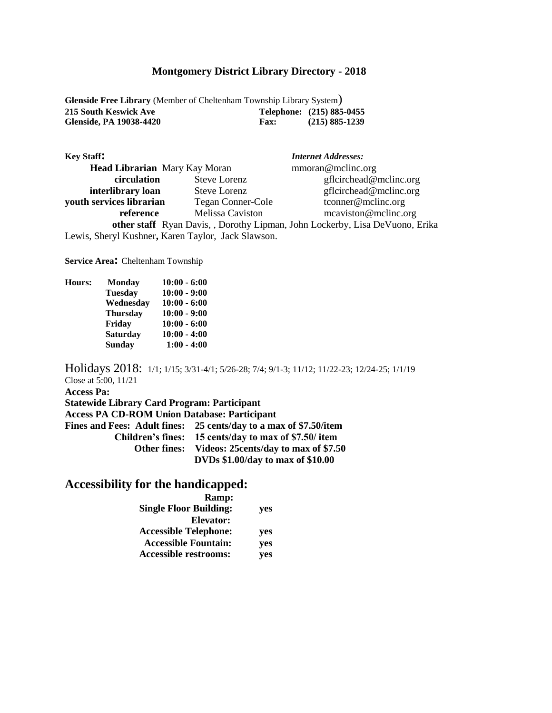**Glenside Free Library** (Member of Cheltenham Township Library System) **215 South Keswick Ave Telephone: (215) 885-0455 Glenside, PA 19038-4420 Fax: (215) 885-1239**

| <b>Key Staff:</b>                                  |                          | <b>Internet Addresses:</b>                                                   |
|----------------------------------------------------|--------------------------|------------------------------------------------------------------------------|
| <b>Head Librarian</b> Mary Kay Moran               |                          | mmoran@mclinc.org                                                            |
| circulation                                        | <b>Steve Lorenz</b>      | gfleirchead@melinc.org                                                       |
| interlibrary loan                                  | <b>Steve Lorenz</b>      | gfleirchead@melinc.org                                                       |
| youth services librarian                           | <b>Tegan Conner-Cole</b> | tconner@mclinc.org                                                           |
| reference                                          | Melissa Caviston         | meaviston@meline.org                                                         |
|                                                    |                          | other staff Ryan Davis, , Dorothy Lipman, John Lockerby, Lisa DeVuono, Erika |
| Lewis, Sheryl Kushner, Karen Taylor, Jack Slawson. |                          |                                                                              |

**Service Area:** Cheltenham Township

| <b>Monday</b>   | $10:00 - 6:00$ |
|-----------------|----------------|
| <b>Tuesday</b>  | $10:00 - 9:00$ |
| Wednesday       | $10:00 - 6:00$ |
| <b>Thursday</b> | $10:00 - 9:00$ |
| Friday          | $10:00 - 6:00$ |
| <b>Saturday</b> | $10:00 - 4:00$ |
| <b>Sunday</b>   | $1:00 - 4:00$  |
|                 |                |

Holidays 2018: 1/1; 1/15; 3/31-4/1; 5/26-28; 7/4; 9/1-3; 11/12; 11/22-23; 12/24-25; 1/1/19 Close at 5:00, 11/21 **Access Pa: Statewide Library Card Program: Participant Access PA CD-ROM Union Database: Participant Fines and Fees: Adult fines: 25 cents/day to a max of \$7.50/item Children's fines: 15 cents/day to max of \$7.50/ item Other fines: Videos: 25cents/day to max of \$7.50 DVDs \$1.00/day to max of \$10.00**

| <b>Ramp:</b>                  |     |
|-------------------------------|-----|
| <b>Single Floor Building:</b> | yes |
| Elevator:                     |     |
| <b>Accessible Telephone:</b>  | yes |
| <b>Accessible Fountain:</b>   | yes |
| <b>Accessible restrooms:</b>  | yes |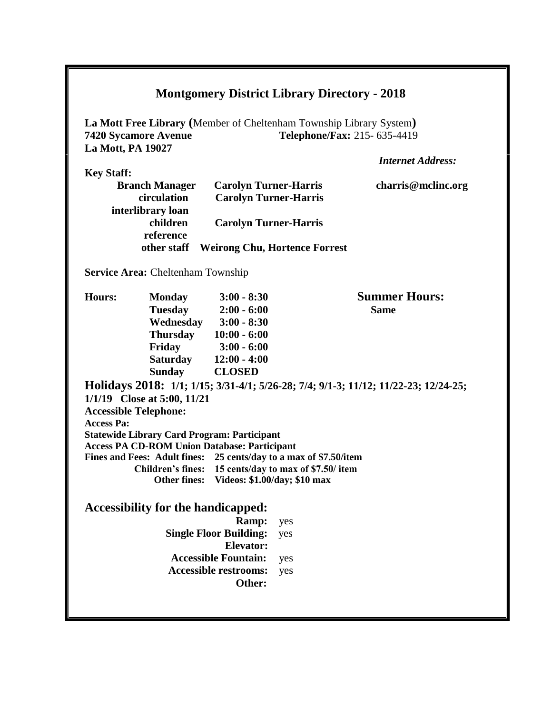|                          |                                                                                                                            |                                                              |                                      | La Mott Free Library (Member of Cheltenham Township Library System)                 |
|--------------------------|----------------------------------------------------------------------------------------------------------------------------|--------------------------------------------------------------|--------------------------------------|-------------------------------------------------------------------------------------|
|                          | <b>7420 Sycamore Avenue</b>                                                                                                |                                                              |                                      | Telephone/Fax: 215-635-4419                                                         |
| <b>La Mott, PA 19027</b> |                                                                                                                            |                                                              |                                      |                                                                                     |
|                          |                                                                                                                            |                                                              |                                      | <b>Internet Address:</b>                                                            |
| <b>Key Staff:</b>        |                                                                                                                            |                                                              |                                      |                                                                                     |
|                          | <b>Branch Manager</b><br>circulation                                                                                       | <b>Carolyn Turner-Harris</b><br><b>Carolyn Turner-Harris</b> |                                      | charris@mclinc.org                                                                  |
|                          | interlibrary loan                                                                                                          |                                                              |                                      |                                                                                     |
|                          | children                                                                                                                   | <b>Carolyn Turner-Harris</b>                                 |                                      |                                                                                     |
|                          | reference                                                                                                                  |                                                              |                                      |                                                                                     |
|                          | other staff                                                                                                                |                                                              | <b>Weirong Chu, Hortence Forrest</b> |                                                                                     |
|                          |                                                                                                                            |                                                              |                                      |                                                                                     |
|                          | <b>Service Area: Cheltenham Township</b>                                                                                   |                                                              |                                      |                                                                                     |
| Hours:                   | <b>Monday</b>                                                                                                              | $3:00 - 8:30$                                                |                                      | <b>Summer Hours:</b>                                                                |
|                          | <b>Tuesday</b>                                                                                                             | $2:00 - 6:00$                                                |                                      | <b>Same</b>                                                                         |
|                          | Wednesday                                                                                                                  | $3:00 - 8:30$                                                |                                      |                                                                                     |
|                          | <b>Thursday</b>                                                                                                            | $10:00 - 6:00$                                               |                                      |                                                                                     |
|                          | Friday                                                                                                                     | $3:00 - 6:00$                                                |                                      |                                                                                     |
|                          | <b>Saturday</b>                                                                                                            | $12:00 - 4:00$                                               |                                      |                                                                                     |
|                          | <b>Sunday</b>                                                                                                              | <b>CLOSED</b>                                                |                                      |                                                                                     |
|                          |                                                                                                                            |                                                              |                                      | Holidays 2018: 1/1; 1/15; 3/31-4/1; 5/26-28; 7/4; 9/1-3; 11/12; 11/22-23; 12/24-25; |
|                          | 1/1/19 Close at 5:00, 11/21                                                                                                |                                                              |                                      |                                                                                     |
|                          | <b>Accessible Telephone:</b>                                                                                               |                                                              |                                      |                                                                                     |
| <b>Access Pa:</b>        |                                                                                                                            |                                                              |                                      |                                                                                     |
|                          | <b>Statewide Library Card Program: Participant</b>                                                                         |                                                              |                                      |                                                                                     |
|                          | <b>Access PA CD-ROM Union Database: Participant</b>                                                                        |                                                              |                                      |                                                                                     |
|                          | Fines and Fees: Adult fines: 25 cents/day to a max of \$7.50/item<br>Children's fines: 15 cents/day to max of \$7.50/ item |                                                              |                                      |                                                                                     |
|                          | <b>Other fines:</b>                                                                                                        | Videos: \$1.00/day; \$10 max                                 |                                      |                                                                                     |
|                          |                                                                                                                            |                                                              |                                      |                                                                                     |
|                          | <b>Accessibility for the handicapped:</b>                                                                                  |                                                              |                                      |                                                                                     |
|                          |                                                                                                                            | Ramp:                                                        | yes                                  |                                                                                     |
|                          |                                                                                                                            | <b>Single Floor Building:</b>                                | yes                                  |                                                                                     |
|                          |                                                                                                                            | <b>Elevator:</b>                                             |                                      |                                                                                     |
|                          |                                                                                                                            | <b>Accessible Fountain:</b>                                  | yes                                  |                                                                                     |
|                          |                                                                                                                            | <b>Accessible restrooms:</b><br>Other:                       | yes                                  |                                                                                     |
|                          |                                                                                                                            |                                                              |                                      |                                                                                     |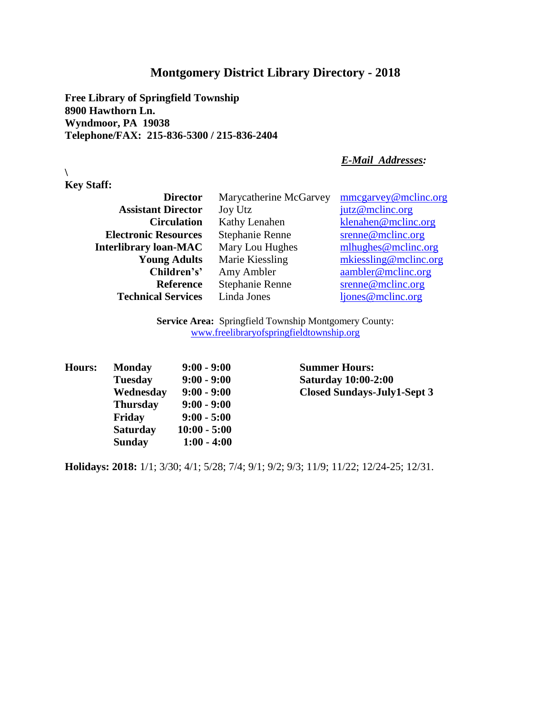**Free Library of Springfield Township 8900 Hawthorn Ln. Wyndmoor, PA 19038 Telephone/FAX: 215-836-5300 / 215-836-2404**

#### *E-Mail Addresses:*

**Key Staff:**

**\**

| <b>Director</b>              | Marycatherine McGarvey | mmcgarvey@mclinc.org  |
|------------------------------|------------------------|-----------------------|
| <b>Assistant Director</b>    | Joy Utz                | jutz@mclinc.org       |
| <b>Circulation</b>           | Kathy Lenahen          | klenahen@mclinc.org   |
| <b>Electronic Resources</b>  | Stephanie Renne        | $s$ renne@mclinc.org  |
| <b>Interlibrary loan-MAC</b> | Mary Lou Hughes        | mlhughes@mclinc.org   |
| <b>Young Adults</b>          | Marie Kiessling        | mkiessling@mclinc.org |
| Children's'                  | Amy Ambler             | aambler@mclinc.org    |
| <b>Reference</b>             | Stephanie Renne        | srenne@mclinc.org     |
| <b>Technical Services</b>    | Linda Jones            | ljones@mclinc.org     |

**Service Area:** Springfield Township Montgomery County: www.freelibraryofspringfieldtownship.org

| Hours: | <b>Monday</b>   | $9:00 - 9:00$  |
|--------|-----------------|----------------|
|        | <b>Tuesday</b>  | $9:00 - 9:00$  |
|        | Wednesday       | $9:00 - 9:00$  |
|        | <b>Thursday</b> | $9:00 - 9:00$  |
|        | Friday          | $9:00 - 5:00$  |
|        | <b>Saturday</b> | $10:00 - 5:00$ |
|        | <b>Sunday</b>   | $1:00 - 4:00$  |

**Summer Hours: Tuesday 9:00 - 9:00 Saturday 10:00-2:00 Wednesday 9:00 - 9:00 Closed Sundays-July1-Sept 3**

**Holidays: 2018:** 1/1; 3/30; 4/1; 5/28; 7/4; 9/1; 9/2; 9/3; 11/9; 11/22; 12/24-25; 12/31.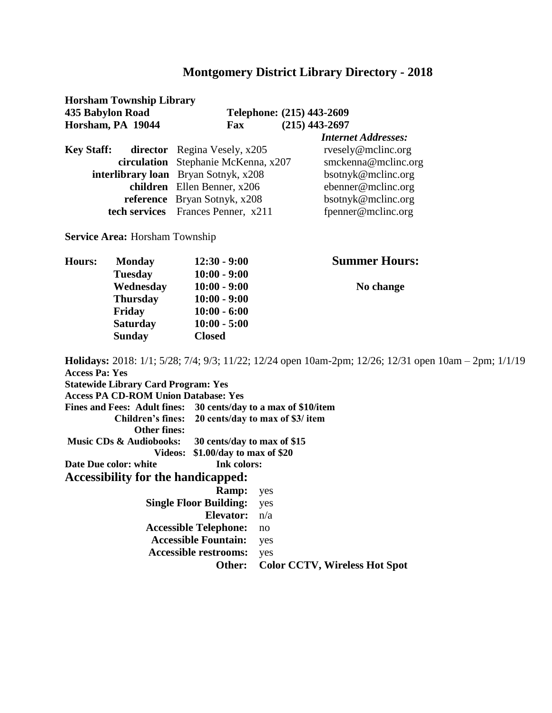**Horsham Township Library 435 Babylon Road Telephone: (215) 443-2609** 

**Horsham, PA 19044 Fax Fax** (215) 443-2697

| <b>Internet Addresses:</b>                                                                                                                                                                                                     |
|--------------------------------------------------------------------------------------------------------------------------------------------------------------------------------------------------------------------------------|
| rvesely@mclinc.org                                                                                                                                                                                                             |
| smckenna@mclinc.org                                                                                                                                                                                                            |
| bsotnyk@mclinc.org                                                                                                                                                                                                             |
| ebenner@mclinc.org                                                                                                                                                                                                             |
| bsotnyk@mclinc.org                                                                                                                                                                                                             |
| fpenner@mclinc.org                                                                                                                                                                                                             |
| <b>director</b> Regina Vesely, x205<br>circulation Stephanie McKenna, x207<br>interlibrary loan Bryan Sotnyk, x208<br>children Ellen Benner, x206<br><b>reference</b> Bryan Sotnyk, x208<br>tech services Frances Penner, x211 |

**Service Area:** Horsham Township

| <b>Hours:</b> | <b>Monday</b>   | $12:30 - 9:00$ | <b>Summer Hours:</b> |
|---------------|-----------------|----------------|----------------------|
|               | <b>Tuesday</b>  | $10:00 - 9:00$ |                      |
|               | Wednesday       | $10:00 - 9:00$ | No change            |
|               | <b>Thursday</b> | $10:00 - 9:00$ |                      |
|               | Friday          | $10:00 - 6:00$ |                      |
|               | <b>Saturday</b> | $10:00 - 5:00$ |                      |
|               | <b>Sunday</b>   | <b>Closed</b>  |                      |

**Holidays:** 2018: 1/1; 5/28; 7/4; 9/3; 11/22; 12/24 open 10am-2pm; 12/26; 12/31 open 10am – 2pm; 1/1/19 **Access Pa: Yes Statewide Library Card Program: Yes Access PA CD-ROM Union Database: Yes Fines and Fees: Adult fines: 30 cents/day to a max of \$10/item Children's fines: 20 cents/day to max of \$3/ item Other fines: Music CDs & Audiobooks: 30 cents/day to max of \$15 Videos: \$1.00/day to max of \$20 Date Due color: white** Ink colors: **Accessibility for the handicapped: Ramp:** yes  **Single Floor Building:** yes **Elevator:** n/a **Accessible Telephone:** no **Accessible Fountain:** yes  **Accessible restrooms:** yes

**Other: Color CCTV, Wireless Hot Spot**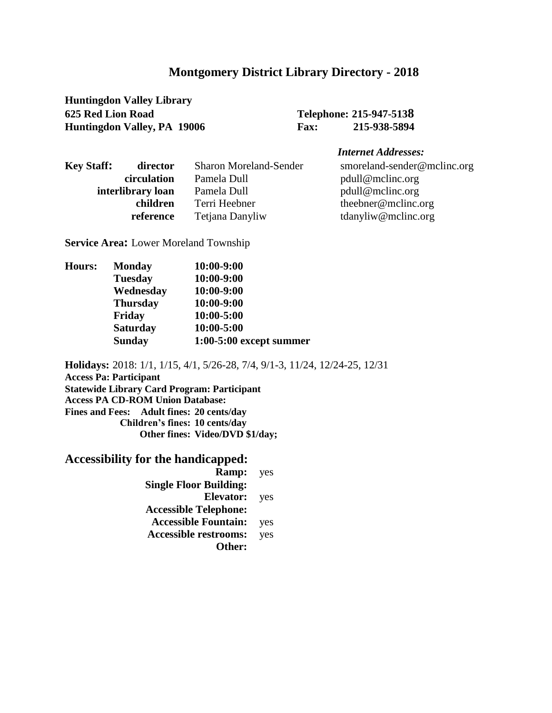**Huntingdon Valley Library 625 Red Lion Road Telephone: 215-947-5138 Huntingdon Valley, PA 19006 Fax: 215-938-5894** 

#### *Internet Addresses:*

| <b>Key Staff:</b> | director          | <b>Sharon Moreland-Sender</b> | smoreland-sender@mclinc.org |
|-------------------|-------------------|-------------------------------|-----------------------------|
|                   | circulation       | Pamela Dull                   | pdull@mclinc.org            |
|                   | interlibrary loan | Pamela Dull                   | pdull@mclinc.org            |
|                   | children          | Terri Heebner                 | the ebner $@$ m cline.org   |
|                   | reference         | Tetjana Danyliw               | tdanyliw@mclinc.org         |
|                   |                   |                               |                             |

**Service Area:** Lower Moreland Township

| <b>Hours:</b> | <b>Monday</b>   | 10:00-9:00                |
|---------------|-----------------|---------------------------|
|               | <b>Tuesday</b>  | 10:00-9:00                |
|               | Wednesday       | 10:00-9:00                |
|               | <b>Thursday</b> | 10:00-9:00                |
|               | Friday          | 10:00-5:00                |
|               | <b>Saturday</b> | 10:00-5:00                |
|               | <b>Sunday</b>   | $1:00-5:00$ except summer |
|               |                 |                           |

**Holidays:** 2018: 1/1, 1/15, 4/1, 5/26-28, 7/4, 9/1-3, 11/24, 12/24-25, 12/31 **Access Pa: Participant Statewide Library Card Program: Participant Access PA CD-ROM Union Database: Fines and Fees: Adult fines: 20 cents/day Children's fines: 10 cents/day Other fines: Video/DVD \$1/day;** 

# **Accessibility for the handicapped:**

**Ramp:** yes **Single Floor Building: Elevator:** yes **Accessible Telephone: Accessible Fountain:** yes **Accessible restrooms:** yes **Other:**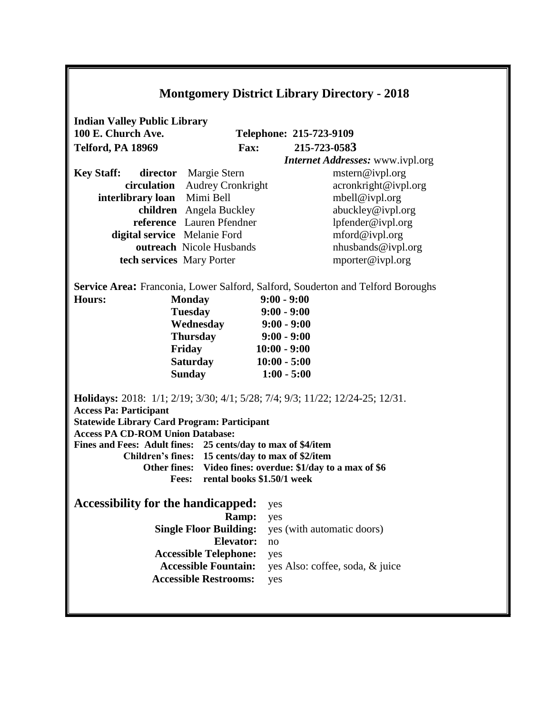| <b>Montgomery District Library Directory - 2018</b>                                                                                                                                                                                                                                                                                        |                                                            |  |  |  |
|--------------------------------------------------------------------------------------------------------------------------------------------------------------------------------------------------------------------------------------------------------------------------------------------------------------------------------------------|------------------------------------------------------------|--|--|--|
| <b>Indian Valley Public Library</b><br>100 E. Church Ave.                                                                                                                                                                                                                                                                                  | Telephone: 215-723-9109                                    |  |  |  |
| Telford, PA 18969<br><b>Fax:</b>                                                                                                                                                                                                                                                                                                           | 215-723-0583                                               |  |  |  |
|                                                                                                                                                                                                                                                                                                                                            | <b>Internet Addresses:</b> www.ivpl.org                    |  |  |  |
| <b>Key Staff:</b><br>director Margie Stern                                                                                                                                                                                                                                                                                                 | mstern@ivpl.org                                            |  |  |  |
| circulation Audrey Cronkright                                                                                                                                                                                                                                                                                                              | acronkright@ivpl.org                                       |  |  |  |
| interlibrary loan Mimi Bell                                                                                                                                                                                                                                                                                                                | mbell@ivpl.org                                             |  |  |  |
| children Angela Buckley                                                                                                                                                                                                                                                                                                                    | abuckley@ivpl.org                                          |  |  |  |
| reference Lauren Pfendner                                                                                                                                                                                                                                                                                                                  | lpfender@ivpl.org                                          |  |  |  |
| digital service Melanie Ford                                                                                                                                                                                                                                                                                                               | mford@ivpl.org                                             |  |  |  |
| outreach Nicole Husbands                                                                                                                                                                                                                                                                                                                   | nhusbands@ivpl.org                                         |  |  |  |
| tech services Mary Porter                                                                                                                                                                                                                                                                                                                  | mporter@ivpl.org                                           |  |  |  |
| Service Area: Franconia, Lower Salford, Salford, Souderton and Telford Boroughs<br>$9:00 - 9:00$<br><b>Hours:</b><br><b>Monday</b><br><b>Tuesday</b><br>$9:00 - 9:00$<br>Wednesday<br>$9:00 - 9:00$<br><b>Thursday</b><br>$9:00 - 9:00$<br>Friday<br>$10:00 - 9:00$<br>$10:00 - 5:00$<br><b>Saturday</b><br><b>Sunday</b><br>$1:00 - 5:00$ |                                                            |  |  |  |
| <b>Holidays:</b> 2018: 1/1; 2/19; 3/30; 4/1; 5/28; 7/4; 9/3; 11/22; 12/24-25; 12/31.<br><b>Access Pa: Participant</b><br><b>Statewide Library Card Program: Participant</b><br><b>Access PA CD-ROM Union Database:</b>                                                                                                                     |                                                            |  |  |  |
| Fines and Fees: Adult fines: 25 cents/day to max of \$4/item                                                                                                                                                                                                                                                                               |                                                            |  |  |  |
| Children's fines: 15 cents/day to max of \$2/item                                                                                                                                                                                                                                                                                          |                                                            |  |  |  |
|                                                                                                                                                                                                                                                                                                                                            | Other fines: Video fines: overdue: \$1/day to a max of \$6 |  |  |  |
| rental books \$1.50/1 week<br><b>Fees:</b>                                                                                                                                                                                                                                                                                                 |                                                            |  |  |  |
| <b>Accessibility for the handicapped:</b>                                                                                                                                                                                                                                                                                                  | yes                                                        |  |  |  |
| <b>Ramp:</b>                                                                                                                                                                                                                                                                                                                               | yes                                                        |  |  |  |
| <b>Single Floor Building:</b>                                                                                                                                                                                                                                                                                                              | yes (with automatic doors)                                 |  |  |  |
| Elevator:                                                                                                                                                                                                                                                                                                                                  | no                                                         |  |  |  |
| <b>Accessible Telephone:</b>                                                                                                                                                                                                                                                                                                               | yes                                                        |  |  |  |
| <b>Accessible Fountain:</b><br><b>Accessible Restrooms:</b>                                                                                                                                                                                                                                                                                | yes Also: coffee, soda, & juice                            |  |  |  |
|                                                                                                                                                                                                                                                                                                                                            | yes                                                        |  |  |  |
|                                                                                                                                                                                                                                                                                                                                            |                                                            |  |  |  |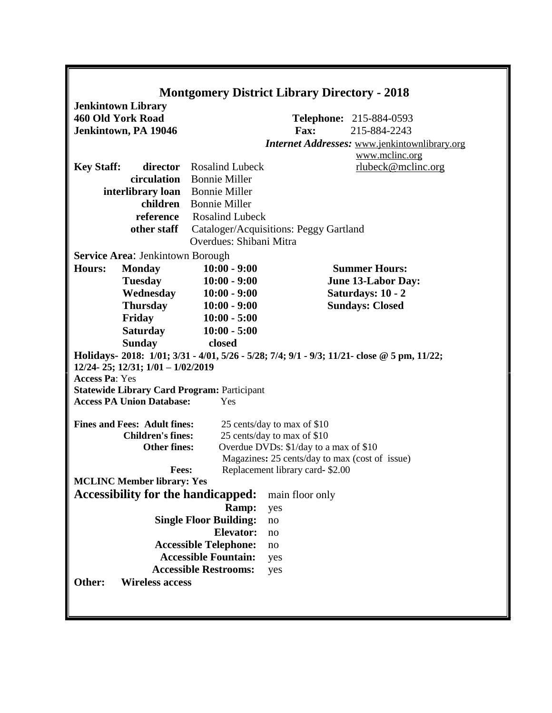|                                                                                                                                                           | <b>Montgomery District Library Directory - 2018</b>                                                                                                   |                                                            |                                                                                                 |  |  |
|-----------------------------------------------------------------------------------------------------------------------------------------------------------|-------------------------------------------------------------------------------------------------------------------------------------------------------|------------------------------------------------------------|-------------------------------------------------------------------------------------------------|--|--|
| <b>Jenkintown Library</b><br>460 Old York Road<br>Jenkintown, PA 19046                                                                                    |                                                                                                                                                       | <b>Fax:</b>                                                | <b>Telephone: 215-884-0593</b><br>215-884-2243<br>Internet Addresses: www.jenkintownlibrary.org |  |  |
|                                                                                                                                                           |                                                                                                                                                       |                                                            | www.mclinc.org                                                                                  |  |  |
| <b>Key Staff:</b><br>circulation<br>interlibrary loan<br>children<br>reference<br>other staff                                                             | director Rosalind Lubeck<br><b>Bonnie Miller</b><br><b>Bonnie Miller</b><br><b>Bonnie Miller</b><br><b>Rosalind Lubeck</b><br>Overdues: Shibani Mitra | Cataloger/Acquisitions: Peggy Gartland                     | rlubeck@mclinc.org                                                                              |  |  |
| <b>Service Area: Jenkintown Borough</b>                                                                                                                   |                                                                                                                                                       |                                                            |                                                                                                 |  |  |
| <b>Hours:</b><br><b>Monday</b>                                                                                                                            | $10:00 - 9:00$                                                                                                                                        |                                                            | <b>Summer Hours:</b>                                                                            |  |  |
| <b>Tuesday</b>                                                                                                                                            | $10:00 - 9:00$                                                                                                                                        |                                                            | <b>June 13-Labor Day:</b>                                                                       |  |  |
| Wednesday<br><b>Thursday</b>                                                                                                                              | $10:00 - 9:00$<br>$10:00 - 9:00$                                                                                                                      |                                                            | Saturdays: 10 - 2<br><b>Sundays: Closed</b>                                                     |  |  |
| Friday                                                                                                                                                    | $10:00 - 5:00$                                                                                                                                        |                                                            |                                                                                                 |  |  |
| <b>Saturday</b>                                                                                                                                           | $10:00 - 5:00$                                                                                                                                        |                                                            |                                                                                                 |  |  |
| <b>Sunday</b>                                                                                                                                             | closed                                                                                                                                                |                                                            |                                                                                                 |  |  |
| Holidays- 2018: 1/01; 3/31 - 4/01, 5/26 - 5/28; 7/4; 9/1 - 9/3; 11/21- close @ 5 pm, 11/22;<br>12/24-25; 12/31; 1/01 - 1/02/2019<br><b>Access Pa: Yes</b> |                                                                                                                                                       |                                                            |                                                                                                 |  |  |
| <b>Statewide Library Card Program: Participant</b>                                                                                                        |                                                                                                                                                       |                                                            |                                                                                                 |  |  |
| <b>Access PA Union Database:</b>                                                                                                                          | Yes                                                                                                                                                   |                                                            |                                                                                                 |  |  |
|                                                                                                                                                           |                                                                                                                                                       |                                                            |                                                                                                 |  |  |
| <b>Fines and Fees: Adult fines:</b><br><b>Children's fines:</b>                                                                                           |                                                                                                                                                       | 25 cents/day to max of \$10<br>25 cents/day to max of \$10 |                                                                                                 |  |  |
| <b>Other fines:</b>                                                                                                                                       |                                                                                                                                                       | Overdue DVDs: \$1/day to a max of \$10                     |                                                                                                 |  |  |
|                                                                                                                                                           |                                                                                                                                                       | Magazines: 25 cents/day to max (cost of issue)             |                                                                                                 |  |  |
| Fees:                                                                                                                                                     |                                                                                                                                                       | Replacement library card-\$2.00                            |                                                                                                 |  |  |
| <b>MCLINC Member library: Yes</b>                                                                                                                         |                                                                                                                                                       |                                                            |                                                                                                 |  |  |
| Accessibility for the handicapped:                                                                                                                        |                                                                                                                                                       | main floor only                                            |                                                                                                 |  |  |
|                                                                                                                                                           | Ramp:                                                                                                                                                 | yes                                                        |                                                                                                 |  |  |
|                                                                                                                                                           | <b>Single Floor Building:</b>                                                                                                                         | no                                                         |                                                                                                 |  |  |
|                                                                                                                                                           | <b>Elevator:</b>                                                                                                                                      | no                                                         |                                                                                                 |  |  |
|                                                                                                                                                           | <b>Accessible Telephone:</b>                                                                                                                          | no                                                         |                                                                                                 |  |  |
|                                                                                                                                                           | <b>Accessible Fountain:</b>                                                                                                                           | yes                                                        |                                                                                                 |  |  |
|                                                                                                                                                           | <b>Accessible Restrooms:</b>                                                                                                                          | yes                                                        |                                                                                                 |  |  |
| <b>Wireless access</b><br>Other:                                                                                                                          |                                                                                                                                                       |                                                            |                                                                                                 |  |  |
|                                                                                                                                                           |                                                                                                                                                       |                                                            |                                                                                                 |  |  |

Г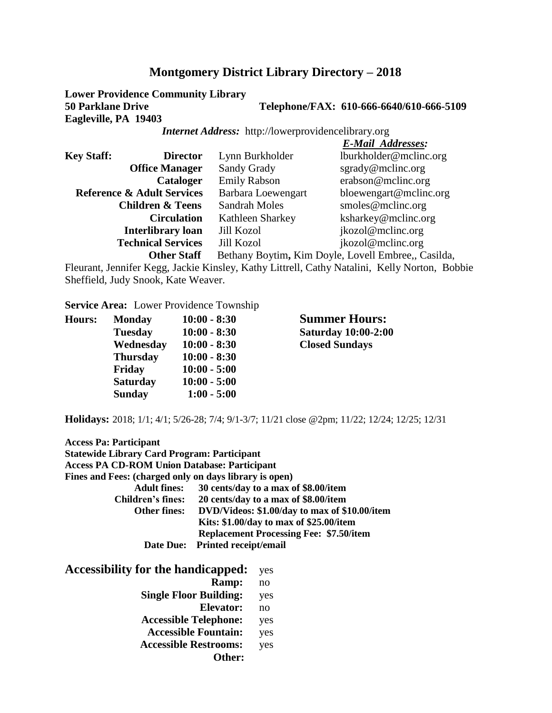**Lower Providence Community Library 50 Parklane Drive Telephone/FAX: 610-666-6640/610-666-5109 Eagleville, PA 19403**

*Internet Address:* http://lowerprovidencelibrary.org

|                   |                                       |                      | <b>E-Mail Addresses:</b>                            |
|-------------------|---------------------------------------|----------------------|-----------------------------------------------------|
| <b>Key Staff:</b> | <b>Director</b>                       | Lynn Burkholder      | lburkholder@mclinc.org                              |
|                   | <b>Office Manager</b>                 | Sandy Grady          | $\text{sgrady@mcline.org}$                          |
|                   | <b>Cataloger</b>                      | <b>Emily Rabson</b>  | erabson@mclinc.org                                  |
|                   | <b>Reference &amp; Adult Services</b> | Barbara Loewengart   | bloewengart@mclinc.org                              |
|                   | <b>Children &amp; Teens</b>           | <b>Sandrah Moles</b> | smoles@mclinc.org                                   |
|                   | <b>Circulation</b>                    | Kathleen Sharkey     | ksharkey@mclinc.org                                 |
|                   | <b>Interlibrary loan</b>              | <b>Jill Kozol</b>    | jkozol@mclinc.org                                   |
|                   | <b>Technical Services</b>             | <b>Jill Kozol</b>    | jkozol@mclinc.org                                   |
|                   | <b>Other Staff</b>                    |                      | Bethany Boytim, Kim Doyle, Lovell Embree,, Casilda, |

Fleurant, Jennifer Kegg, Jackie Kinsley, Kathy Littrell, Cathy Natalini, Kelly Norton, Bobbie Sheffield, Judy Snook, Kate Weaver.

**Service Area:** Lower Providence Township

| <b>Hours:</b> | <b>Monday</b>   | $10:00 - 8:30$ |
|---------------|-----------------|----------------|
|               | <b>Tuesday</b>  | $10:00 - 8:30$ |
|               | Wednesday       | $10:00 - 8:30$ |
|               | <b>Thursday</b> | $10:00 - 8:30$ |
|               | Friday          | $10:00 - 5:00$ |
|               | <b>Saturday</b> | $10:00 - 5:00$ |
|               | <b>Sunday</b>   | $1:00 - 5:00$  |
|               |                 |                |

**Summer Hours: Tuesday 10:00 - 8:30 Saturday 10:00-2:00**  $Closed$  **Sundays** 

**Holidays:** 2018; 1/1; 4/1; 5/26-28; 7/4; 9/1-3/7; 11/21 close @2pm; 11/22; 12/24; 12/25; 12/31

| <b>Access Pa: Participant</b><br><b>Statewide Library Card Program: Participant</b><br><b>Access PA CD-ROM Union Database: Participant</b><br>Fines and Fees: (charged only on days library is open) |                                 |                                                |
|------------------------------------------------------------------------------------------------------------------------------------------------------------------------------------------------------|---------------------------------|------------------------------------------------|
| <b>Adult fines:</b>                                                                                                                                                                                  |                                 | 30 cents/day to a max of \$8.00/item           |
| <b>Children's fines:</b>                                                                                                                                                                             |                                 | 20 cents/day to a max of \$8.00/item           |
| Other fines:                                                                                                                                                                                         |                                 | DVD/Videos: \$1.00/day to max of \$10.00/item  |
|                                                                                                                                                                                                      |                                 | Kits: \$1.00/day to max of \$25.00/item        |
|                                                                                                                                                                                                      |                                 | <b>Replacement Processing Fee: \$7.50/item</b> |
|                                                                                                                                                                                                      | Date Due: Printed receipt/email |                                                |
| Accessibility for the handicapped:                                                                                                                                                                   |                                 | yes                                            |
|                                                                                                                                                                                                      | Ramp:                           | no                                             |
| <b>Single Floor Building:</b>                                                                                                                                                                        |                                 | yes                                            |
|                                                                                                                                                                                                      | Elevator:                       | no                                             |
|                                                                                                                                                                                                      | --                              |                                                |

**Accessible Telephone:** yes **Accessible Fountain:** yes

**Accessible Restrooms:** yes

**Other:**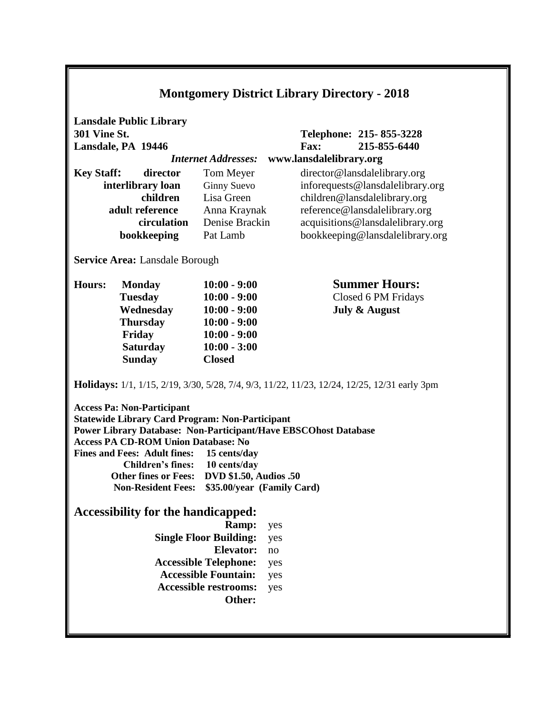| <b>Montgomery District Library Directory - 2018</b>                                                                                                                                                                                                                                                                                                                                                                       |                                                      |                                  |     |                                        |                                                                                                     |
|---------------------------------------------------------------------------------------------------------------------------------------------------------------------------------------------------------------------------------------------------------------------------------------------------------------------------------------------------------------------------------------------------------------------------|------------------------------------------------------|----------------------------------|-----|----------------------------------------|-----------------------------------------------------------------------------------------------------|
| <b>301 Vine St.</b>                                                                                                                                                                                                                                                                                                                                                                                                       | <b>Lansdale Public Library</b><br>Lansdale, PA 19446 | <b>Internet Addresses:</b>       |     | <b>Fax:</b><br>www.lansdalelibrary.org | Telephone: 215-855-3228<br>215-855-6440                                                             |
|                                                                                                                                                                                                                                                                                                                                                                                                                           |                                                      |                                  |     |                                        |                                                                                                     |
| <b>Key Staff:</b>                                                                                                                                                                                                                                                                                                                                                                                                         | director                                             | Tom Meyer                        |     |                                        | director@lansdalelibrary.org                                                                        |
|                                                                                                                                                                                                                                                                                                                                                                                                                           | interlibrary loan<br>children                        | <b>Ginny Suevo</b><br>Lisa Green |     |                                        | inforequests@lansdalelibrary.org                                                                    |
|                                                                                                                                                                                                                                                                                                                                                                                                                           | adult reference                                      | Anna Kraynak                     |     |                                        | children@lansdalelibrary.org<br>reference@lansdalelibrary.org                                       |
|                                                                                                                                                                                                                                                                                                                                                                                                                           | circulation                                          | Denise Brackin                   |     |                                        | acquisitions@lansdalelibrary.org                                                                    |
|                                                                                                                                                                                                                                                                                                                                                                                                                           | bookkeeping                                          | Pat Lamb                         |     |                                        | bookkeeping@lansdalelibrary.org                                                                     |
|                                                                                                                                                                                                                                                                                                                                                                                                                           |                                                      |                                  |     |                                        |                                                                                                     |
|                                                                                                                                                                                                                                                                                                                                                                                                                           | <b>Service Area: Lansdale Borough</b>                |                                  |     |                                        |                                                                                                     |
| <b>Hours:</b>                                                                                                                                                                                                                                                                                                                                                                                                             | <b>Monday</b>                                        | $10:00 - 9:00$                   |     |                                        | <b>Summer Hours:</b>                                                                                |
|                                                                                                                                                                                                                                                                                                                                                                                                                           | <b>Tuesday</b>                                       | $10:00 - 9:00$                   |     |                                        | Closed 6 PM Fridays                                                                                 |
|                                                                                                                                                                                                                                                                                                                                                                                                                           | Wednesday                                            | $10:00 - 9:00$                   |     |                                        | <b>July &amp; August</b>                                                                            |
|                                                                                                                                                                                                                                                                                                                                                                                                                           | <b>Thursday</b>                                      | $10:00 - 9:00$                   |     |                                        |                                                                                                     |
|                                                                                                                                                                                                                                                                                                                                                                                                                           | Friday                                               | $10:00 - 9:00$                   |     |                                        |                                                                                                     |
|                                                                                                                                                                                                                                                                                                                                                                                                                           | <b>Saturday</b>                                      | $10:00 - 3:00$                   |     |                                        |                                                                                                     |
|                                                                                                                                                                                                                                                                                                                                                                                                                           | <b>Sunday</b>                                        | <b>Closed</b>                    |     |                                        |                                                                                                     |
|                                                                                                                                                                                                                                                                                                                                                                                                                           |                                                      |                                  |     |                                        | <b>Holidays:</b> 1/1, 1/15, 2/19, 3/30, 5/28, 7/4, 9/3, 11/22, 11/23, 12/24, 12/25, 12/31 early 3pm |
| <b>Access Pa: Non-Participant</b><br><b>Statewide Library Card Program: Non-Participant</b><br>Power Library Database: Non-Participant/Have EBSCOhost Database<br><b>Access PA CD-ROM Union Database: No</b><br><b>Fines and Fees: Adult fines:</b><br>15 cents/day<br><b>Children's fines:</b><br>10 cents/day<br>Other fines or Fees: DVD \$1.50, Audios .50<br><b>Non-Resident Fees:</b><br>\$35.00/year (Family Card) |                                                      |                                  |     |                                        |                                                                                                     |
|                                                                                                                                                                                                                                                                                                                                                                                                                           | <b>Accessibility for the handicapped:</b>            |                                  |     |                                        |                                                                                                     |
|                                                                                                                                                                                                                                                                                                                                                                                                                           |                                                      | Ramp:                            | yes |                                        |                                                                                                     |
|                                                                                                                                                                                                                                                                                                                                                                                                                           |                                                      | <b>Single Floor Building:</b>    | yes |                                        |                                                                                                     |
|                                                                                                                                                                                                                                                                                                                                                                                                                           |                                                      | <b>Elevator:</b>                 | no  |                                        |                                                                                                     |
|                                                                                                                                                                                                                                                                                                                                                                                                                           |                                                      | <b>Accessible Telephone:</b>     | yes |                                        |                                                                                                     |
|                                                                                                                                                                                                                                                                                                                                                                                                                           |                                                      | <b>Accessible Fountain:</b>      | yes |                                        |                                                                                                     |
|                                                                                                                                                                                                                                                                                                                                                                                                                           |                                                      | <b>Accessible restrooms:</b>     | yes |                                        |                                                                                                     |
|                                                                                                                                                                                                                                                                                                                                                                                                                           |                                                      | Other:                           |     |                                        |                                                                                                     |
|                                                                                                                                                                                                                                                                                                                                                                                                                           |                                                      |                                  |     |                                        |                                                                                                     |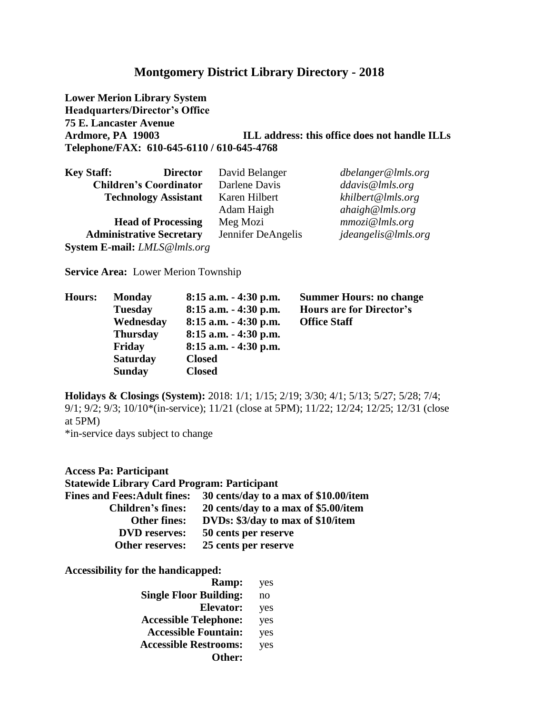**Lower Merion Library System Headquarters/Director's Office 75 E. Lancaster Avenue Ardmore, PA 19003 ILL address: this office does not handle ILLs Telephone/FAX: 610-645-6110 / 610-645-4768**

| <b>Key Staff:</b>                   | <b>Director</b>                 | David Belanger     | dbelanger@lmls.org  |
|-------------------------------------|---------------------------------|--------------------|---------------------|
|                                     | <b>Children's Coordinator</b>   | Darlene Davis      | ddavis@lmls.org     |
|                                     | <b>Technology Assistant</b>     | Karen Hilbert      | khilbert@lmls.org   |
|                                     |                                 | Adam Haigh         | ahaigh@lmls.org     |
|                                     | <b>Head of Processing</b>       | Meg Mozi           | mmozi@lnls.org      |
|                                     | <b>Administrative Secretary</b> | Jennifer DeAngelis | jdeangelis@lmls.org |
| <b>System E-mail:</b> LMLS@lmls.org |                                 |                    |                     |

**Service Area:** Lower Merion Township

| Hours: | <b>Monday</b>   | $8:15$ a.m. $-4:30$ p.m. | <b>Summer Hours: no change</b>  |
|--------|-----------------|--------------------------|---------------------------------|
|        | <b>Tuesday</b>  | $8:15$ a.m. $-4:30$ p.m. | <b>Hours are for Director's</b> |
|        | Wednesday       | $8:15$ a.m. $-4:30$ p.m. | <b>Office Staff</b>             |
|        | <b>Thursday</b> | $8:15$ a.m. $-4:30$ p.m. |                                 |
|        | Friday          | $8:15$ a.m. $-4:30$ p.m. |                                 |
|        | <b>Saturday</b> | <b>Closed</b>            |                                 |
|        | <b>Sunday</b>   | <b>Closed</b>            |                                 |

**Holidays & Closings (System):** 2018: 1/1; 1/15; 2/19; 3/30; 4/1; 5/13; 5/27; 5/28; 7/4; 9/1; 9/2; 9/3; 10/10\*(in-service); 11/21 (close at 5PM); 11/22; 12/24; 12/25; 12/31 (close at 5PM)

\*in-service days subject to change

**Access Pa: Participant Statewide Library Card Program: Participant Fines and Fees:Adult fines: 30 cents/day to a max of \$10.00/item Children's fines: 20 cents/day to a max of \$5.00/item Other fines: DVDs: \$3/day to max of \$10/item DVD reserves: 50 cents per reserve Other reserves: 25 cents per reserve**

| Ramp:                         | yes |
|-------------------------------|-----|
| <b>Single Floor Building:</b> | no  |
| Elevator:                     | yes |
| <b>Accessible Telephone:</b>  | yes |
| <b>Accessible Fountain:</b>   | yes |
| <b>Accessible Restrooms:</b>  | yes |
| Other:                        |     |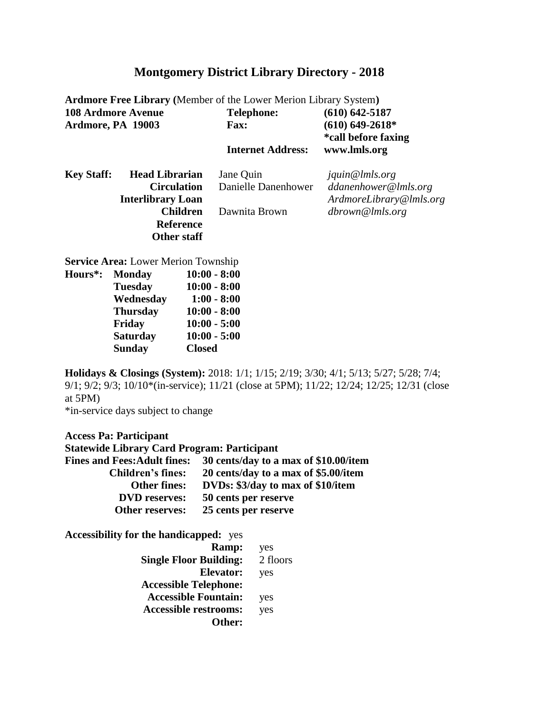| <b>Ardmore Free Library (Member of the Lower Merion Library System)</b> |                                          |  |  |  |
|-------------------------------------------------------------------------|------------------------------------------|--|--|--|
| <b>Telephone:</b>                                                       | $(610) 642 - 5187$                       |  |  |  |
| <b>Fax:</b>                                                             | $(610)$ 649-2618*<br>*call before faxing |  |  |  |
|                                                                         | www.lmls.org                             |  |  |  |
| Jane Quin                                                               | jquin@lmls.org                           |  |  |  |
| Danielle Danenhower                                                     | ddanenhower@lmls.org                     |  |  |  |
|                                                                         | ArdmoreLibrary@lmls.org                  |  |  |  |
| Dawnita Brown                                                           | dbrown@lmls.org                          |  |  |  |
|                                                                         |                                          |  |  |  |
|                                                                         |                                          |  |  |  |
|                                                                         | <b>Internet Address:</b>                 |  |  |  |

**Service Area:** Lower Merion Township

| <b>Hours*:</b> | <b>Monday</b>   | $10:00 - 8:00$ |
|----------------|-----------------|----------------|
|                | <b>Tuesday</b>  | $10:00 - 8:00$ |
|                | Wednesday       | $1:00 - 8:00$  |
|                | <b>Thursday</b> | $10:00 - 8:00$ |
|                | Friday          | $10:00 - 5:00$ |
|                | <b>Saturday</b> | $10:00 - 5:00$ |
|                | <b>Sunday</b>   | <b>Closed</b>  |
|                |                 |                |

**Holidays & Closings (System):** 2018: 1/1; 1/15; 2/19; 3/30; 4/1; 5/13; 5/27; 5/28; 7/4; 9/1; 9/2; 9/3; 10/10\*(in-service); 11/21 (close at 5PM); 11/22; 12/24; 12/25; 12/31 (close at 5PM)

\*in-service days subject to change

**Access Pa: Participant**

| <b>Statewide Library Card Program: Participant</b> |
|----------------------------------------------------|
| 30 cents/day to a max of \$10.00/item              |
| 20 cents/day to a max of \$5.00/item               |
| DVDs: \$3/day to max of \$10/item                  |
| 50 cents per reserve                               |
| 25 cents per reserve                               |
|                                                    |

| Ramp:                         | yes      |
|-------------------------------|----------|
| <b>Single Floor Building:</b> | 2 floors |
| Elevator:                     | yes      |
| <b>Accessible Telephone:</b>  |          |
| <b>Accessible Fountain:</b>   | yes      |
| <b>Accessible restrooms:</b>  | yes      |
| Other:                        |          |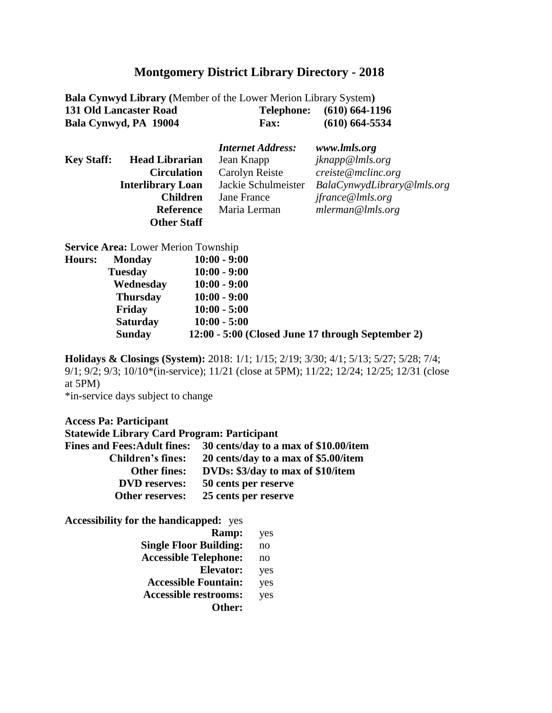| <b>Bala Cynwyd Library</b> (Member of the Lower Merion Library System) |             |                           |
|------------------------------------------------------------------------|-------------|---------------------------|
| 131 Old Lancaster Road                                                 |             | Telephone: (610) 664-1196 |
| Bala Cynwyd, PA 19004                                                  | <b>Fax:</b> | $(610)$ 664-5534          |

|                   |                          | <b>Internet Address:</b> | www.lmls.org               |
|-------------------|--------------------------|--------------------------|----------------------------|
| <b>Key Staff:</b> | <b>Head Librarian</b>    | Jean Knapp               | jknapp@lmls.org            |
|                   | <b>Circulation</b>       | Carolyn Reiste           | creiste@mclinc.org         |
|                   | <b>Interlibrary Loan</b> | Jackie Schulmeister      | BalaCynwydLibrary@lmls.org |
|                   | <b>Children</b>          | Jane France              | jfrance@lmls.org           |
|                   | <b>Reference</b>         | Maria Lerman             | mlerman@lnls.org           |
|                   | <b>Other Staff</b>       |                          |                            |

**Service Area:** Lower Merion Township

| <b>Hours:</b> | <b>Monday</b>   | $10:00 - 9:00$                                    |
|---------------|-----------------|---------------------------------------------------|
|               | <b>Tuesday</b>  | $10:00 - 9:00$                                    |
|               | Wednesday       | $10:00 - 9:00$                                    |
|               | <b>Thursday</b> | $10:00 - 9:00$                                    |
|               | Friday          | $10:00 - 5:00$                                    |
|               | <b>Saturday</b> | $10:00 - 5:00$                                    |
|               | <b>Sunday</b>   | 12:00 - 5:00 (Closed June 17 through September 2) |
|               |                 |                                                   |

**Holidays & Closings (System):** 2018: 1/1; 1/15; 2/19; 3/30; 4/1; 5/13; 5/27; 5/28; 7/4; 9/1; 9/2; 9/3; 10/10\*(in-service); 11/21 (close at 5PM); 11/22; 12/24; 12/25; 12/31 (close at 5PM)

\*in-service days subject to change

| <b>Access Pa: Participant</b>                      |                                       |
|----------------------------------------------------|---------------------------------------|
| <b>Statewide Library Card Program: Participant</b> |                                       |
| <b>Fines and Fees: Adult fines:</b>                | 30 cents/day to a max of \$10.00/item |
| <b>Children's fines:</b>                           | 20 cents/day to a max of \$5.00/item  |
| <b>Other fines:</b>                                | DVDs: \$3/day to max of \$10/item     |
| <b>DVD</b> reserves:                               | 50 cents per reserve                  |
| Other reserves:                                    | 25 cents per reserve                  |
| <b>Accessibility for the handicapped:</b> yes      |                                       |
|                                                    | <b>Ramp:</b><br>ves                   |

| кашр.                         | ycs |
|-------------------------------|-----|
| <b>Single Floor Building:</b> | no  |
| <b>Accessible Telephone:</b>  | no  |
| Elevator:                     | yes |
| <b>Accessible Fountain:</b>   | yes |
| <b>Accessible restrooms:</b>  | yes |
| Other:                        |     |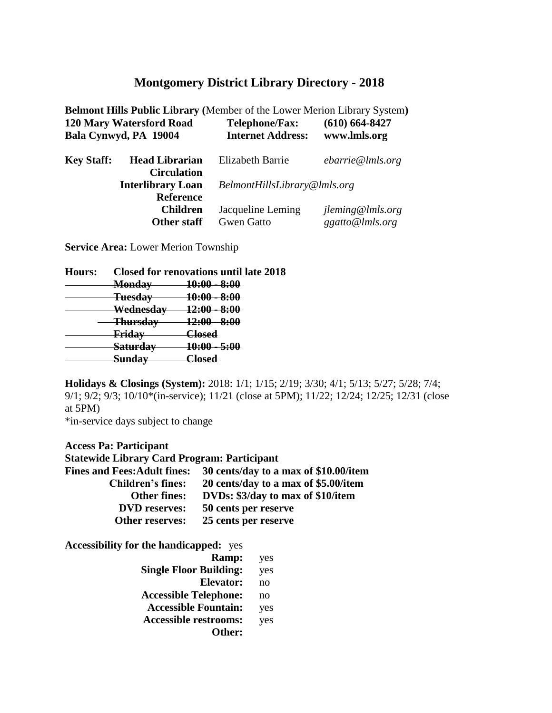|                   |                                                | <b>Belmont Hills Public Library (Member of the Lower Merion Library System)</b> |                    |
|-------------------|------------------------------------------------|---------------------------------------------------------------------------------|--------------------|
|                   | <b>120 Mary Watersford Road</b>                | <b>Telephone/Fax:</b>                                                           | $(610) 664 - 8427$ |
|                   | Bala Cynwyd, PA 19004                          | <b>Internet Address:</b>                                                        | www.lmls.org       |
| <b>Key Staff:</b> | <b>Head Librarian</b>                          | <b>Elizabeth Barrie</b>                                                         | ebarrie@lnls.org   |
|                   | <b>Circulation</b><br><b>Interlibrary Loan</b> | BelmontHillsLibrary@lmls.org                                                    |                    |
|                   | <b>Reference</b>                               |                                                                                 |                    |
|                   | <b>Children</b>                                | Jacqueline Leming                                                               | jleming@lmls.org   |
|                   | <b>Other staff</b>                             | <b>Gwen Gatto</b>                                                               | ggatto@lmls.org    |

**Service Area:** Lower Merion Township

| <b>Hours:</b> | <b>Closed for renovations until late 2018</b> |                                     |  |
|---------------|-----------------------------------------------|-------------------------------------|--|
|               | <b>Monday</b>                                 | <del>10:00</del><br><u>8:00</u>     |  |
|               | <b>Tuesday</b>                                | <del>10:00</del><br><del>8:00</del> |  |
|               | Wednesday                                     | <u> 12:00</u><br>8:00               |  |
|               | <del>Thursday</del>                           | <del>12:00</del><br><del>8:00</del> |  |
|               | Friday                                        | Closed                              |  |
|               | <b>Saturday</b>                               | 10:00<br><del>5:00</del>            |  |
|               |                                               | امعملا                              |  |
|               |                                               |                                     |  |

**Holidays & Closings (System):** 2018: 1/1; 1/15; 2/19; 3/30; 4/1; 5/13; 5/27; 5/28; 7/4; 9/1; 9/2; 9/3; 10/10\*(in-service); 11/21 (close at 5PM); 11/22; 12/24; 12/25; 12/31 (close at 5PM)

\*in-service days subject to change

**Access Pa: Participant Statewide Library Card Program: Participant Fines and Fees:Adult fines: 30 cents/day to a max of \$10.00/item Children's fines: 20 cents/day to a max of \$5.00/item Other fines: DVDs: \$3/day to max of \$10/item DVD reserves: 50 cents per reserve Other reserves: 25 cents per reserve**

| yes |
|-----|
| yes |
| no  |
| no  |
| yes |
| yes |
|     |
|     |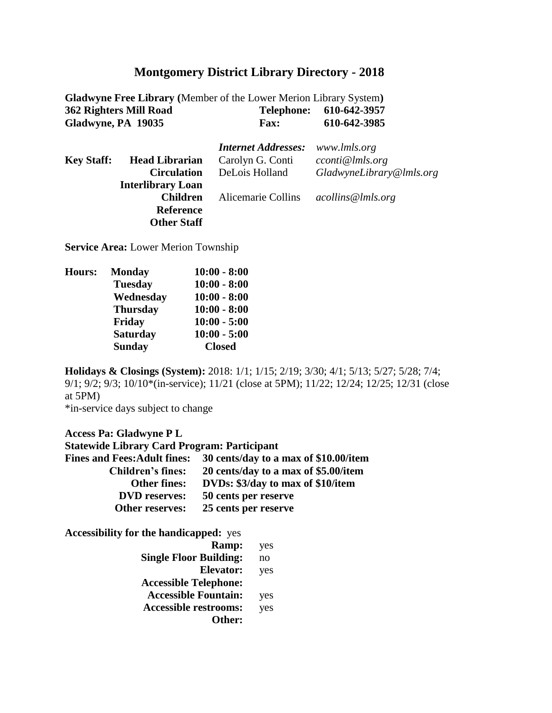| <b>Gladwyne Free Library</b> (Member of the Lower Merion Library System) |            |              |
|--------------------------------------------------------------------------|------------|--------------|
| 362 Righters Mill Road                                                   | Telephone: | 610-642-3957 |
| Gladwyne, PA 19035                                                       | Fax:       | 610-642-3985 |

|                   |                          | <b>Internet Addresses:</b> | www.lmls.org             |
|-------------------|--------------------------|----------------------------|--------------------------|
| <b>Key Staff:</b> | <b>Head Librarian</b>    | Carolyn G. Conti           | cconti@lmls.org          |
|                   | <b>Circulation</b>       | DeLois Holland             | GladwyneLibrary@lmls.org |
|                   | <b>Interlibrary Loan</b> |                            |                          |
|                   | <b>Children</b>          | Alicemarie Collins         | acollins@lmls.org        |
|                   | <b>Reference</b>         |                            |                          |
|                   | <b>Other Staff</b>       |                            |                          |

**Service Area:** Lower Merion Township

| <b>Hours:</b> | <b>Monday</b>   | $10:00 - 8:00$ |
|---------------|-----------------|----------------|
|               | <b>Tuesday</b>  | $10:00 - 8:00$ |
|               | Wednesday       | $10:00 - 8:00$ |
|               | <b>Thursday</b> | $10:00 - 8:00$ |
|               | Friday          | $10:00 - 5:00$ |
|               | <b>Saturday</b> | $10:00 - 5:00$ |
|               | <b>Sunday</b>   | <b>Closed</b>  |
|               |                 |                |

**Holidays & Closings (System):** 2018: 1/1; 1/15; 2/19; 3/30; 4/1; 5/13; 5/27; 5/28; 7/4; 9/1; 9/2; 9/3; 10/10\*(in-service); 11/21 (close at 5PM); 11/22; 12/24; 12/25; 12/31 (close at 5PM)

\*in-service days subject to change

#### **Access Pa: Gladwyne P L**

| <b>Statewide Library Card Program: Participant</b> |                                       |
|----------------------------------------------------|---------------------------------------|
| <b>Fines and Fees: Adult fines:</b>                | 30 cents/day to a max of \$10.00/item |
| <b>Children's fines:</b>                           | 20 cents/day to a max of \$5.00/item  |
| <b>Other fines:</b>                                | DVDs: \$3/day to max of \$10/item     |
| <b>DVD</b> reserves:                               | 50 cents per reserve                  |
| <b>Other reserves:</b>                             | 25 cents per reserve                  |

| Ramp:                         | yes |
|-------------------------------|-----|
| <b>Single Floor Building:</b> | no  |
| Elevator:                     | yes |
| <b>Accessible Telephone:</b>  |     |
| <b>Accessible Fountain:</b>   | yes |
| <b>Accessible restrooms:</b>  | yes |
| Other:                        |     |
|                               |     |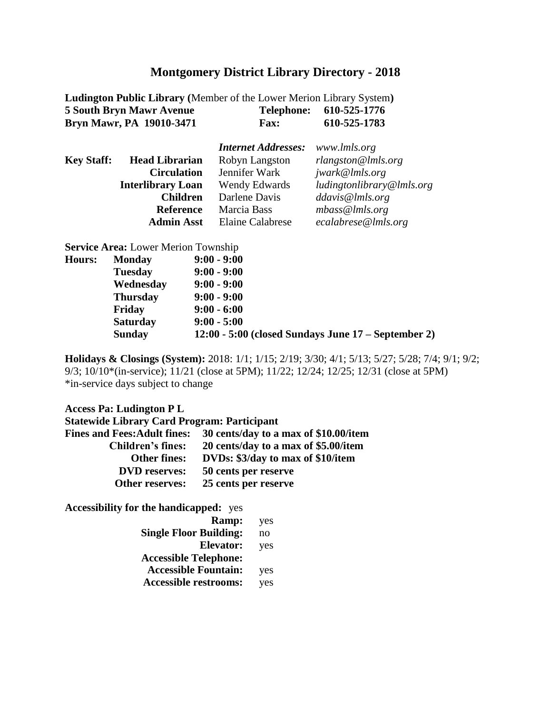**Ludington Public Library (Member of the Lower Merion Library System)**<br>5 South Bryn Mawr Avenue Telephone: 610-525-1776 **5 South Bryn Mawr Avenue Telephone: 610-525-1776 Bryn Mawr, PA 19010-3471 Fax: 610-525-1783**

|                   |                          | <b>Internet Addresses:</b> | www.lmls.org              |
|-------------------|--------------------------|----------------------------|---------------------------|
| <b>Key Staff:</b> | <b>Head Librarian</b>    | Robyn Langston             | $r$ langston@lmls.org     |
|                   | <b>Circulation</b>       | Jennifer Wark              | jwark@lmls.org            |
|                   | <b>Interlibrary Loan</b> | Wendy Edwards              | ludingtonlibrary@lmls.org |
|                   | <b>Children</b>          | Darlene Davis              | ddavis@lmls.org           |
|                   | <b>Reference</b>         | Marcia Bass                | mbass@lnls.org            |
|                   | <b>Admin Asst</b>        | Elaine Calabrese           | ecalabrese@lmls.org       |

**Service Area:** Lower Merion Township

| <b>Hours:</b> | <b>Monday</b>   | $9:00 - 9:00$                                           |
|---------------|-----------------|---------------------------------------------------------|
|               | <b>Tuesday</b>  | $9:00 - 9:00$                                           |
|               | Wednesday       | $9:00 - 9:00$                                           |
|               | <b>Thursday</b> | $9:00 - 9:00$                                           |
|               | Friday          | $9:00 - 6:00$                                           |
|               | <b>Saturday</b> | $9:00 - 5:00$                                           |
|               | <b>Sunday</b>   | $12:00 - 5:00$ (closed Sundays June $17 -$ September 2) |

**Holidays & Closings (System):** 2018: 1/1; 1/15; 2/19; 3/30; 4/1; 5/13; 5/27; 5/28; 7/4; 9/1; 9/2; 9/3; 10/10\*(in-service); 11/21 (close at 5PM); 11/22; 12/24; 12/25; 12/31 (close at 5PM) \*in-service days subject to change

#### **Access Pa: Ludington P L**

| <b>Statewide Library Card Program: Participant</b> |                                       |
|----------------------------------------------------|---------------------------------------|
| <b>Fines and Fees: Adult fines:</b>                | 30 cents/day to a max of \$10.00/item |
| <b>Children's fines:</b>                           | 20 cents/day to a max of \$5.00/item  |
| <b>Other fines:</b>                                | DVDs: \$3/day to max of \$10/item     |
| <b>DVD</b> reserves:                               | 50 cents per reserve                  |
| Other reserves:                                    | 25 cents per reserve                  |

| Ramp:                         | yes            |
|-------------------------------|----------------|
| <b>Single Floor Building:</b> | n <sub>0</sub> |
| <b>Elevator:</b>              | yes            |
| <b>Accessible Telephone:</b>  |                |
| <b>Accessible Fountain:</b>   | yes            |
| <b>Accessible restrooms:</b>  | yes            |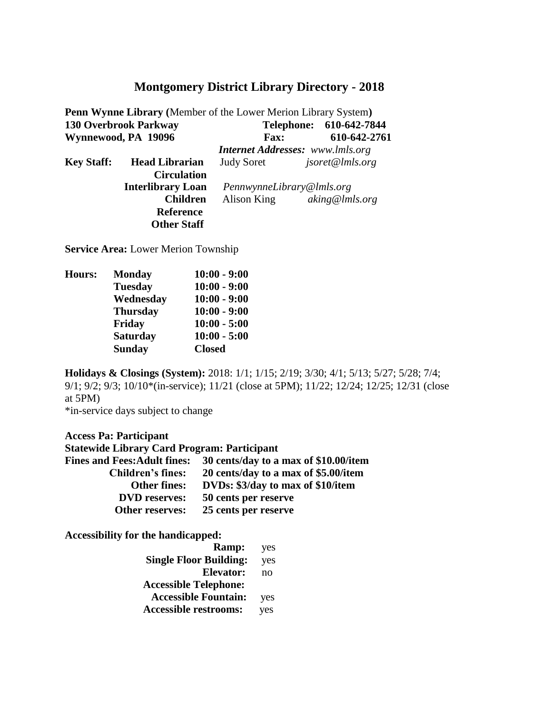|                     | Penn Wynne Library (Member of the Lower Merion Library System) |                                         |  |                         |
|---------------------|----------------------------------------------------------------|-----------------------------------------|--|-------------------------|
|                     | 130 Overbrook Parkway                                          |                                         |  | Telephone: 610-642-7844 |
| Wynnewood, PA 19096 |                                                                | <b>Fax:</b>                             |  | 610-642-2761            |
|                     |                                                                | <b>Internet Addresses:</b> www.lmls.org |  |                         |
| <b>Key Staff:</b>   | <b>Head Librarian</b>                                          | <b>Judy Soret</b>                       |  | jsoret@lmls.org         |
|                     | <b>Circulation</b>                                             |                                         |  |                         |
|                     | <b>Interlibrary Loan</b>                                       | PennwynneLibrary@lmls.org               |  |                         |
|                     | <b>Children</b>                                                | Alison King                             |  | aking@lmls.org          |
|                     | <b>Reference</b>                                               |                                         |  |                         |
|                     | <b>Other Staff</b>                                             |                                         |  |                         |

**Service Area:** Lower Merion Township

| <b>Hours:</b> | <b>Monday</b>   | $10:00 - 9:00$ |
|---------------|-----------------|----------------|
|               | <b>Tuesday</b>  | $10:00 - 9:00$ |
|               | Wednesday       | $10:00 - 9:00$ |
|               | <b>Thursday</b> | $10:00 - 9:00$ |
|               | Friday          | $10:00 - 5:00$ |
|               | <b>Saturday</b> | $10:00 - 5:00$ |
|               | <b>Sunday</b>   | <b>Closed</b>  |
|               |                 |                |

**Holidays & Closings (System):** 2018: 1/1; 1/15; 2/19; 3/30; 4/1; 5/13; 5/27; 5/28; 7/4; 9/1; 9/2; 9/3; 10/10\*(in-service); 11/21 (close at 5PM); 11/22; 12/24; 12/25; 12/31 (close at 5PM)

\*in-service days subject to change

#### **Access Pa: Participant**

| <b>Statewide Library Card Program: Participant</b> |                                       |  |  |
|----------------------------------------------------|---------------------------------------|--|--|
| <b>Fines and Fees: Adult fines:</b>                | 30 cents/day to a max of \$10.00/item |  |  |
| <b>Children's fines:</b>                           | 20 cents/day to a max of \$5.00/item  |  |  |
| <b>Other fines:</b>                                | DVDs: \$3/day to max of \$10/item     |  |  |
| <b>DVD</b> reserves:                               | 50 cents per reserve                  |  |  |
| Other reserves:                                    | 25 cents per reserve                  |  |  |

| Ramp:                         | yes            |
|-------------------------------|----------------|
| <b>Single Floor Building:</b> | yes            |
| <b>Elevator:</b>              | n <sub>0</sub> |
| <b>Accessible Telephone:</b>  |                |
| <b>Accessible Fountain:</b>   | yes            |
| <b>Accessible restrooms:</b>  | yes            |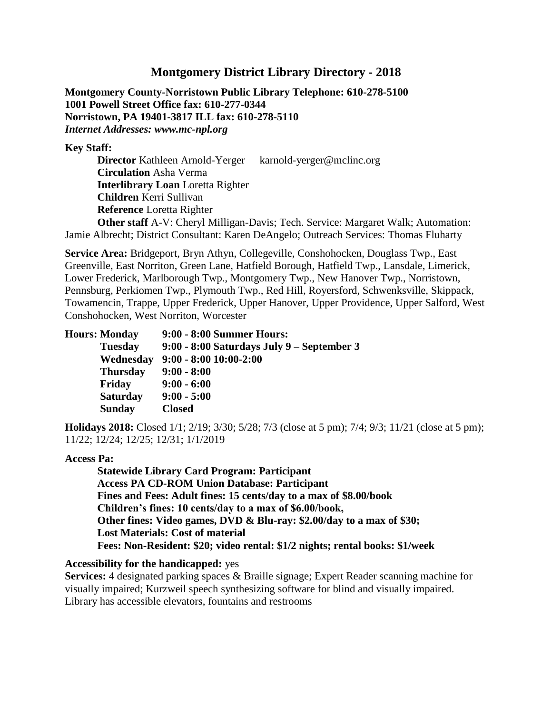**Montgomery County-Norristown Public Library Telephone: 610-278-5100 1001 Powell Street Office fax: 610-277-0344 Norristown, PA 19401-3817 ILL fax: 610-278-5110**  *Internet Addresses: www.mc-npl.org* 

**Key Staff:** 

**Director** Kathleen Arnold-Yerger karnold-yerger@mclinc.org **Circulation** Asha Verma **Interlibrary Loan** Loretta Righter **Children** Kerri Sullivan **Reference** Loretta Righter **Other staff** A-V: Cheryl Milligan-Davis; Tech. Service: Margaret Walk; Automation:

Jamie Albrecht; District Consultant: Karen DeAngelo; Outreach Services: Thomas Fluharty

**Service Area:** Bridgeport, Bryn Athyn, Collegeville, Conshohocken, Douglass Twp., East Greenville, East Norriton, Green Lane, Hatfield Borough, Hatfield Twp., Lansdale, Limerick, Lower Frederick, Marlborough Twp., Montgomery Twp., New Hanover Twp., Norristown, Pennsburg, Perkiomen Twp., Plymouth Twp., Red Hill, Royersford, Schwenksville, Skippack, Towamencin, Trappe, Upper Frederick, Upper Hanover, Upper Providence, Upper Salford, West Conshohocken, West Norriton, Worcester

| <b>Hours: Monday</b> | 9:00 - 8:00 Summer Hours:                  |
|----------------------|--------------------------------------------|
| <b>Tuesday</b>       | 9:00 - 8:00 Saturdays July 9 – September 3 |
| Wednesday            | $9:00 - 8:00 10:00 - 2:00$                 |
| <b>Thursday</b>      | $9:00 - 8:00$                              |
| <b>Friday</b>        | $9:00 - 6:00$                              |
| <b>Saturday</b>      | $9:00 - 5:00$                              |
| <b>Sunday</b>        | <b>Closed</b>                              |

**Holidays 2018:** Closed 1/1; 2/19; 3/30; 5/28; 7/3 (close at 5 pm); 7/4; 9/3; 11/21 (close at 5 pm); 11/22; 12/24; 12/25; 12/31; 1/1/2019

#### **Access Pa:**

**Statewide Library Card Program: Participant Access PA CD-ROM Union Database: Participant Fines and Fees: Adult fines: 15 cents/day to a max of \$8.00/book Children's fines: 10 cents/day to a max of \$6.00/book, Other fines: Video games, DVD & Blu-ray: \$2.00/day to a max of \$30; Lost Materials: Cost of material Fees: Non-Resident: \$20; video rental: \$1/2 nights; rental books: \$1/week** 

#### **Accessibility for the handicapped:** yes

**Services:** 4 designated parking spaces & Braille signage; Expert Reader scanning machine for visually impaired; Kurzweil speech synthesizing software for blind and visually impaired. Library has accessible elevators, fountains and restrooms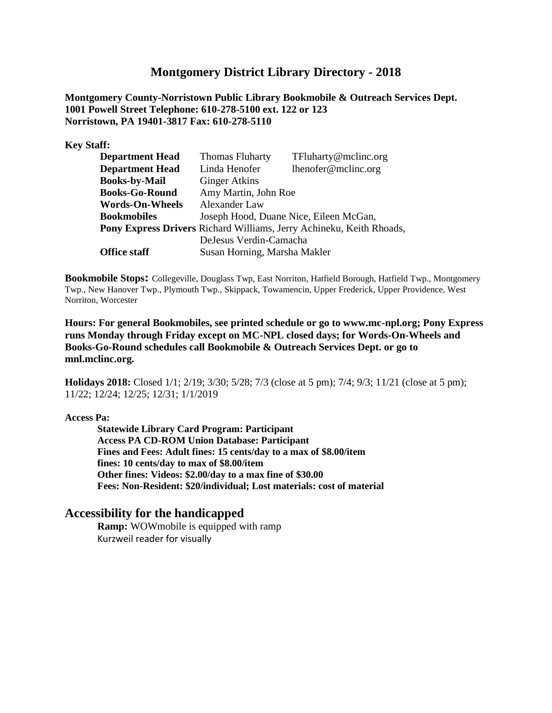**Montgomery County-Norristown Public Library Bookmobile & Outreach Services Dept. 1001 Powell Street Telephone: 610-278-5100 ext. 122 or 123 Norristown, PA 19401-3817 Fax: 610-278-5110** 

**Key Staff:** 

| <b>Department Head</b> | <b>Thomas Fluharty</b>                 | TFluharty@mclinc.org                                                 |  |
|------------------------|----------------------------------------|----------------------------------------------------------------------|--|
| <b>Department Head</b> | Linda Henofer                          | lhenofer@mclinc.org                                                  |  |
| <b>Books-by-Mail</b>   | <b>Ginger Atkins</b>                   |                                                                      |  |
| <b>Books-Go-Round</b>  | Amy Martin, John Roe                   |                                                                      |  |
| <b>Words-On-Wheels</b> | Alexander Law                          |                                                                      |  |
| <b>Bookmobiles</b>     | Joseph Hood, Duane Nice, Eileen McGan, |                                                                      |  |
|                        |                                        | Pony Express Drivers Richard Williams, Jerry Achineku, Keith Rhoads, |  |
|                        | DeJesus Verdin-Camacha                 |                                                                      |  |
| <b>Office staff</b>    | Susan Horning, Marsha Makler           |                                                                      |  |

**Bookmobile Stops:** Collegeville, Douglass Twp, East Norriton, Hatfield Borough, Hatfield Twp., Montgomery Twp., New Hanover Twp., Plymouth Twp., Skippack, Towamencin, Upper Frederick, Upper Providence, West Norriton, Worcester

**Hours: For general Bookmobiles, see printed schedule or go to www.mc-npl.org; Pony Express runs Monday through Friday except on MC-NPL closed days; for Words-On-Wheels and Books-Go-Round schedules call Bookmobile & Outreach Services Dept. or go to mnl.mclinc.org.** 

**Holidays 2018:** Closed 1/1; 2/19; 3/30; 5/28; 7/3 (close at 5 pm); 7/4; 9/3; 11/21 (close at 5 pm); 11/22; 12/24; 12/25; 12/31; 1/1/2019

#### **Access Pa:**

**Statewide Library Card Program: Participant Access PA CD-ROM Union Database: Participant Fines and Fees: Adult fines: 15 cents/day to a max of \$8.00/item fines: 10 cents/day to max of \$8.00/item Other fines: Videos: \$2.00/day to a max fine of \$30.00 Fees: Non-Resident: \$20/individual; Lost materials: cost of material** 

#### **Accessibility for the handicapped**

**Ramp:** WOWmobile is equipped with ramp Kurzweil reader for visually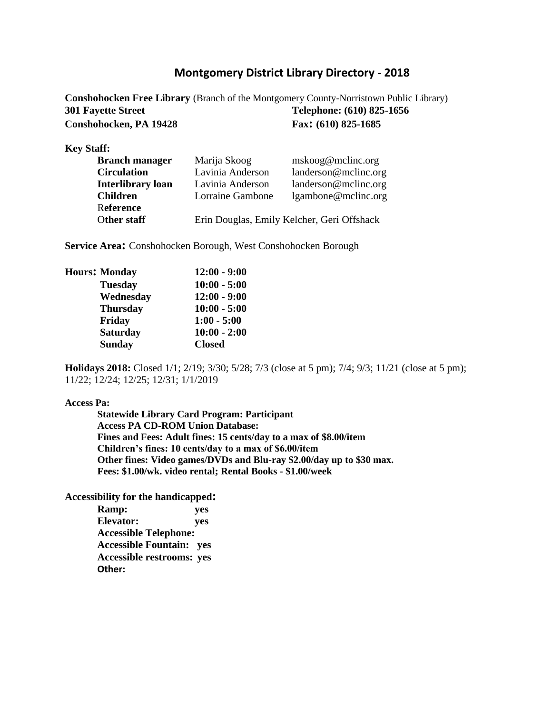**Conshohocken Free Library** (Branch of the Montgomery County-Norristown Public Library) **301 Fayette Street Telephone: (610) 825-1656 Conshohocken, PA 19428 Fax: (610) 825-1685** 

**Key Staff:** 

| <b>Branch manager</b>    | Marija Skoog                               | mskoog@mclinc.org    |  |
|--------------------------|--------------------------------------------|----------------------|--|
| <b>Circulation</b>       | Lavinia Anderson                           | landerson@mclinc.org |  |
| <b>Interlibrary loan</b> | Lavinia Anderson                           | landerson@mclinc.org |  |
| <b>Children</b>          | Lorraine Gambone                           | lgambone@mclinc.org  |  |
| Reference                |                                            |                      |  |
| Other staff              | Erin Douglas, Emily Kelcher, Geri Offshack |                      |  |

**Service Area:** Conshohocken Borough, West Conshohocken Borough

| <b>Hours: Monday</b> | $12:00 - 9:00$ |
|----------------------|----------------|
| <b>Tuesday</b>       | $10:00 - 5:00$ |
| Wednesday            | $12:00 - 9:00$ |
| <b>Thursday</b>      | $10:00 - 5:00$ |
| Friday               | $1:00 - 5:00$  |
| <b>Saturday</b>      | $10:00 - 2:00$ |
| <b>Sunday</b>        | <b>Closed</b>  |
|                      |                |

**Holidays 2018:** Closed 1/1; 2/19; 3/30; 5/28; 7/3 (close at 5 pm); 7/4; 9/3; 11/21 (close at 5 pm); 11/22; 12/24; 12/25; 12/31; 1/1/2019

#### **Access Pa:**

**Statewide Library Card Program: Participant Access PA CD-ROM Union Database: Fines and Fees: Adult fines: 15 cents/day to a max of \$8.00/item Children's fines: 10 cents/day to a max of \$6.00/item Other fines: Video games/DVDs and Blu-ray \$2.00/day up to \$30 max. Fees: \$1.00/wk. video rental; Rental Books - \$1.00/week** 

| Ramp:                            | yes |
|----------------------------------|-----|
| Elevator:                        | yes |
| <b>Accessible Telephone:</b>     |     |
| <b>Accessible Fountain:</b> yes  |     |
| <b>Accessible restrooms: yes</b> |     |
| Other:                           |     |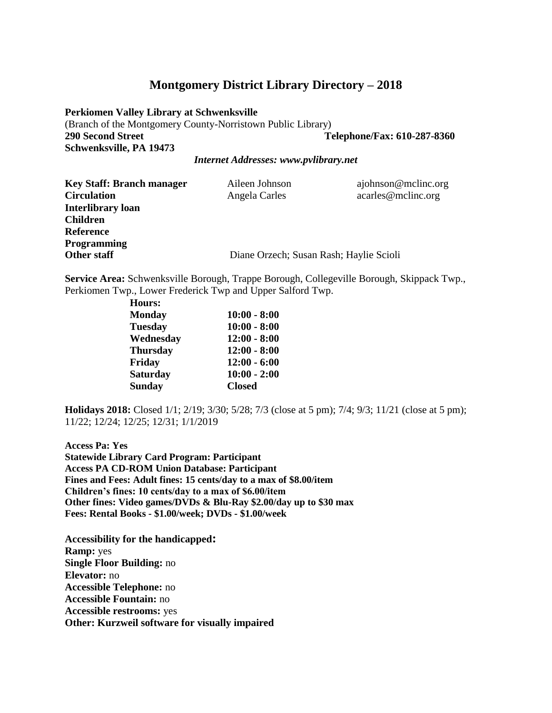**Perkiomen Valley Library at Schwenksville**  (Branch of the Montgomery County-Norristown Public Library) **290 Second Street Telephone/Fax: 610-287-8360 Schwenksville, PA 19473** 

*Internet Addresses: www.pvlibrary.net*

| <b>Key Staff: Branch manager</b> | Aileen Johnson                          | ajohnson@mclinc.org |
|----------------------------------|-----------------------------------------|---------------------|
| <b>Circulation</b>               | Angela Carles                           | acarles@mcline.     |
| <b>Interlibrary loan</b>         |                                         |                     |
| <b>Children</b>                  |                                         |                     |
| Reference                        |                                         |                     |
| <b>Programming</b>               |                                         |                     |
| Other staff                      | Diane Orzech; Susan Rash; Haylie Scioli |                     |

**Service Area:** Schwenksville Borough, Trappe Borough, Collegeville Borough, Skippack Twp., Perkiomen Twp., Lower Frederick Twp and Upper Salford Twp.

| <b>Hours:</b>   |                |
|-----------------|----------------|
| <b>Monday</b>   | $10:00 - 8:00$ |
| <b>Tuesday</b>  | $10:00 - 8:00$ |
| Wednesday       | $12:00 - 8:00$ |
| <b>Thursday</b> | $12:00 - 8:00$ |
| Friday          | $12:00 - 6:00$ |
| <b>Saturday</b> | $10:00 - 2:00$ |
| <b>Sunday</b>   | <b>Closed</b>  |

**Holidays 2018:** Closed 1/1; 2/19; 3/30; 5/28; 7/3 (close at 5 pm); 7/4; 9/3; 11/21 (close at 5 pm); 11/22; 12/24; 12/25; 12/31; 1/1/2019

**Access Pa: Yes Statewide Library Card Program: Participant Access PA CD-ROM Union Database: Participant Fines and Fees: Adult fines: 15 cents/day to a max of \$8.00/item Children's fines: 10 cents/day to a max of \$6.00/item Other fines: Video games/DVDs & Blu-Ray \$2.00/day up to \$30 max Fees: Rental Books - \$1.00/week; DVDs - \$1.00/week**

**Accessibility for the handicapped: Ramp:** yes **Single Floor Building:** no **Elevator:** no **Accessible Telephone:** no **Accessible Fountain:** no **Accessible restrooms:** yes **Other: Kurzweil software for visually impaired**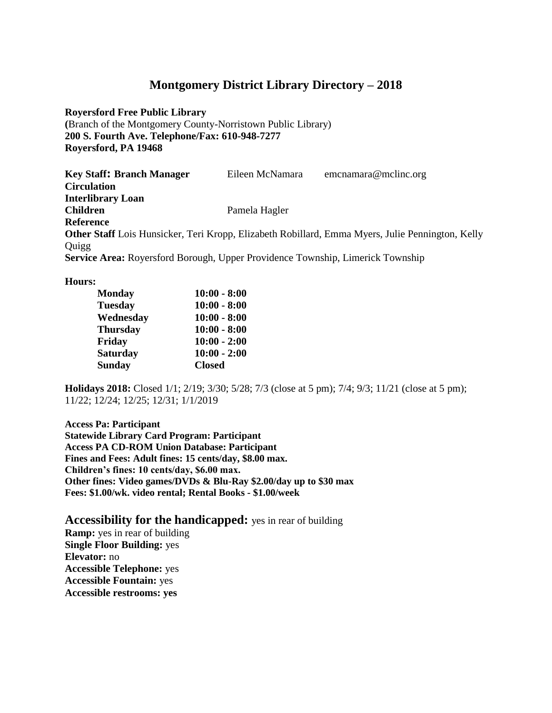**Royersford Free Public Library** 

**(**Branch of the Montgomery County-Norristown Public Library) **200 S. Fourth Ave. Telephone/Fax: 610-948-7277 Royersford, PA 19468**

| <b>Key Staff: Branch Manager</b>                                                      | Eileen McNamara | emcnamara@mclinc.org                                                                                    |
|---------------------------------------------------------------------------------------|-----------------|---------------------------------------------------------------------------------------------------------|
| <b>Circulation</b>                                                                    |                 |                                                                                                         |
| <b>Interlibrary Loan</b>                                                              |                 |                                                                                                         |
| <b>Children</b>                                                                       | Pamela Hagler   |                                                                                                         |
| Reference                                                                             |                 |                                                                                                         |
|                                                                                       |                 | <b>Other Staff</b> Lois Hunsicker, Teri Kropp, Elizabeth Robillard, Emma Myers, Julie Pennington, Kelly |
| Quigg                                                                                 |                 |                                                                                                         |
| <b>Service Area:</b> Royersford Borough, Upper Providence Township, Limerick Township |                 |                                                                                                         |

#### **Hours:**

| <b>Monday</b>   | $10:00 - 8:00$ |
|-----------------|----------------|
| <b>Tuesday</b>  | $10:00 - 8:00$ |
| Wednesday       | $10:00 - 8:00$ |
| <b>Thursday</b> | $10:00 - 8:00$ |
| Friday          | $10:00 - 2:00$ |
| <b>Saturday</b> | $10:00 - 2:00$ |
| <b>Sunday</b>   | <b>Closed</b>  |

**Holidays 2018:** Closed 1/1; 2/19; 3/30; 5/28; 7/3 (close at 5 pm); 7/4; 9/3; 11/21 (close at 5 pm); 11/22; 12/24; 12/25; 12/31; 1/1/2019

**Access Pa: Participant Statewide Library Card Program: Participant Access PA CD-ROM Union Database: Participant Fines and Fees: Adult fines: 15 cents/day, \$8.00 max. Children's fines: 10 cents/day, \$6.00 max. Other fines: Video games/DVDs & Blu-Ray \$2.00/day up to \$30 max Fees: \$1.00/wk. video rental; Rental Books - \$1.00/week** 

**Accessibility for the handicapped:** yes in rear of building

**Ramp:** yes in rear of building **Single Floor Building:** yes **Elevator:** no **Accessible Telephone:** yes **Accessible Fountain:** yes **Accessible restrooms: yes**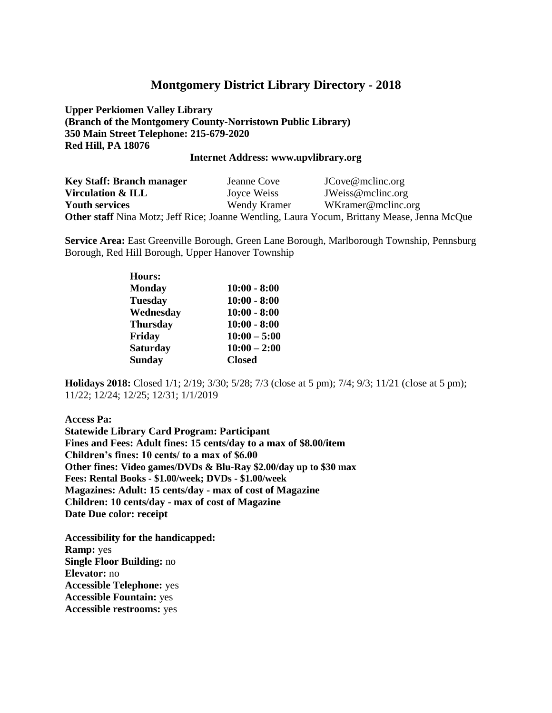**Upper Perkiomen Valley Library (Branch of the Montgomery County-Norristown Public Library) 350 Main Street Telephone: 215-679-2020 Red Hill, PA 18076** 

#### **Internet Address: www.upvlibrary.org**

| <b>Key Staff: Branch manager</b> | Jeanne Cove  | JCove@mclinc.org                                                                            |
|----------------------------------|--------------|---------------------------------------------------------------------------------------------|
| Virculation & ILL                | Joyce Weiss  | JWeiss@mclinc.org                                                                           |
| <b>Youth services</b>            | Wendy Kramer | WKramer@mclinc.org                                                                          |
|                                  |              | Other staff Nina Motz; Jeff Rice; Joanne Wentling, Laura Yocum, Brittany Mease, Jenna McQue |

**Service Area:** East Greenville Borough, Green Lane Borough, Marlborough Township, Pennsburg Borough, Red Hill Borough, Upper Hanover Township

| <b>Hours:</b>   |                |
|-----------------|----------------|
| <b>Monday</b>   | $10:00 - 8:00$ |
| <b>Tuesday</b>  | $10:00 - 8:00$ |
| Wednesday       | $10:00 - 8:00$ |
| <b>Thursday</b> | $10:00 - 8:00$ |
| Friday          | $10:00 - 5:00$ |
| <b>Saturday</b> | $10:00 - 2:00$ |
| <b>Sunday</b>   | <b>Closed</b>  |

**Holidays 2018:** Closed 1/1; 2/19; 3/30; 5/28; 7/3 (close at 5 pm); 7/4; 9/3; 11/21 (close at 5 pm); 11/22; 12/24; 12/25; 12/31; 1/1/2019

**Access Pa: Statewide Library Card Program: Participant Fines and Fees: Adult fines: 15 cents/day to a max of \$8.00/item Children's fines: 10 cents/ to a max of \$6.00 Other fines: Video games/DVDs & Blu-Ray \$2.00/day up to \$30 max Fees: Rental Books - \$1.00/week; DVDs - \$1.00/week Magazines: Adult: 15 cents/day - max of cost of Magazine Children: 10 cents/day - max of cost of Magazine Date Due color: receipt** 

**Accessibility for the handicapped: Ramp:** yes **Single Floor Building:** no **Elevator:** no **Accessible Telephone:** yes **Accessible Fountain:** yes **Accessible restrooms:** yes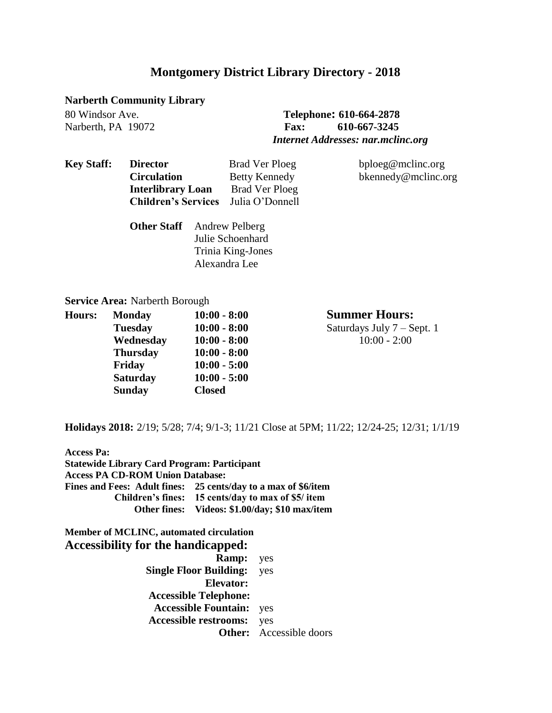#### **Narberth Community Library**

### 80 Windsor Ave. **Telephone: 610-664-2878** Narberth, PA 19072 **Fax: 610-667-3245**  *Internet Addresses: nar.mclinc.org*

| <b>Key Staff:</b> | <b>Director</b>            | Brad Ver Ploeg        | bploeg@mclinc.org   |
|-------------------|----------------------------|-----------------------|---------------------|
|                   | <b>Circulation</b>         | <b>Betty Kennedy</b>  | bkennedy@mclinc.org |
|                   | <b>Interlibrary Loan</b>   | Brad Ver Ploeg        |                     |
|                   | <b>Children's Services</b> | Julia O'Donnell       |                     |
|                   | <b>Other Staff</b>         | <b>Andrew Pelberg</b> |                     |
|                   |                            | Julie Schoenhard      |                     |
|                   |                            | Trinia King-Jones     |                     |

Alexandra Lee

#### **Service Area:** Narberth Borough

| Hours: | <b>Monday</b>   | $10:00 - 8:00$ |
|--------|-----------------|----------------|
|        | <b>Tuesday</b>  | $10:00 - 8:00$ |
|        | Wednesday       | $10:00 - 8:00$ |
|        | <b>Thursday</b> | $10:00 - 8:00$ |
|        | Friday          | $10:00 - 5:00$ |
|        | <b>Saturday</b> | $10:00 - 5:00$ |
|        | <b>Sunday</b>   | <b>Closed</b>  |
|        |                 |                |

 $Summer Hours:$ Saturdays July 7 – Sept. 1  **Wednesday 10:00 - 8:00** 10:00 - 2:00

**Holidays 2018:** 2/19; 5/28; 7/4; 9/1-3; 11/21 Close at 5PM; 11/22; 12/24-25; 12/31; 1/1/19

| <b>Access Pa:</b><br><b>Statewide Library Card Program: Participant</b>                     |                                                                |  |
|---------------------------------------------------------------------------------------------|----------------------------------------------------------------|--|
| <b>Access PA CD-ROM Union Database:</b>                                                     |                                                                |  |
|                                                                                             | Fines and Fees: Adult fines: 25 cents/day to a max of \$6/item |  |
|                                                                                             | Children's fines: 15 cents/day to max of \$5/ item             |  |
|                                                                                             | Other fines: Videos: \$1.00/day; \$10 max/item                 |  |
|                                                                                             | <b>Ramp:</b> yes                                               |  |
| <b>Member of MCLINC, automated circulation</b><br><b>Accessibility for the handicapped:</b> |                                                                |  |
|                                                                                             |                                                                |  |
|                                                                                             |                                                                |  |
|                                                                                             | <b>Single Floor Building:</b> yes<br>Elevator:                 |  |
|                                                                                             | <b>Accessible Telephone:</b>                                   |  |
|                                                                                             | <b>Accessible Fountain:</b> yes                                |  |

**Other:** Accessible doors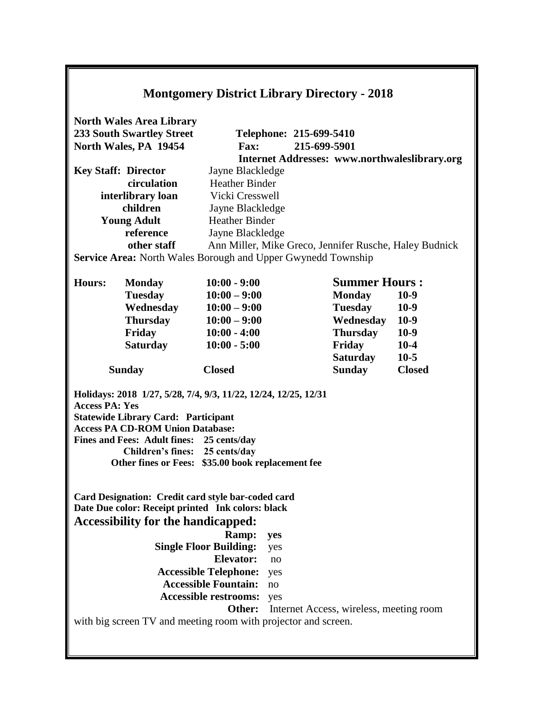| <b>Montgomery District Library Directory - 2018</b>                                                                                                                                                                                                                                                                                                                                                                                                                                                                                                                                                                                                                                                                                                                                          |                                                                                                                                                                                                     |                                                                                                                               |                                         |                                                                                                                |
|----------------------------------------------------------------------------------------------------------------------------------------------------------------------------------------------------------------------------------------------------------------------------------------------------------------------------------------------------------------------------------------------------------------------------------------------------------------------------------------------------------------------------------------------------------------------------------------------------------------------------------------------------------------------------------------------------------------------------------------------------------------------------------------------|-----------------------------------------------------------------------------------------------------------------------------------------------------------------------------------------------------|-------------------------------------------------------------------------------------------------------------------------------|-----------------------------------------|----------------------------------------------------------------------------------------------------------------|
|                                                                                                                                                                                                                                                                                                                                                                                                                                                                                                                                                                                                                                                                                                                                                                                              | <b>North Wales Area Library</b><br><b>233 South Swartley Street</b><br>North Wales, PA 19454                                                                                                        | <b>Fax:</b>                                                                                                                   | Telephone: 215-699-5410<br>215-699-5901 |                                                                                                                |
|                                                                                                                                                                                                                                                                                                                                                                                                                                                                                                                                                                                                                                                                                                                                                                                              | <b>Key Staff: Director</b><br>circulation<br>interlibrary loan<br>children<br><b>Young Adult</b><br>reference<br>other staff<br><b>Service Area:</b> North Wales Borough and Upper Gwynedd Township | Jayne Blackledge<br><b>Heather Binder</b><br>Vicki Cresswell<br>Jayne Blackledge<br><b>Heather Binder</b><br>Jayne Blackledge |                                         | <b>Internet Addresses: www.northwaleslibrary.org</b><br>Ann Miller, Mike Greco, Jennifer Rusche, Haley Budnick |
| <b>Summer Hours:</b><br><b>Hours:</b><br>$10:00 - 9:00$<br><b>Monday</b><br><b>Tuesday</b><br><b>Monday</b><br>$10-9$<br>$10:00 - 9:00$<br>Wednesday<br>$10-9$<br>$10:00 - 9:00$<br><b>Tuesday</b><br><b>Thursday</b><br>Wednesday<br>$10-9$<br>$10:00 - 9:00$<br>Friday<br>$10:00 - 4:00$<br>Thursday<br>$10-9$<br><b>Saturday</b><br>Friday<br>$10-4$<br>$10:00 - 5:00$<br>Saturday<br>$10-5$<br><b>Closed</b><br><b>Sunday</b><br><b>Closed</b><br><b>Sunday</b><br>Holidays: 2018 1/27, 5/28, 7/4, 9/3, 11/22, 12/24, 12/25, 12/31<br><b>Access PA: Yes</b><br><b>Statewide Library Card: Participant</b><br><b>Access PA CD-ROM Union Database:</b><br>Fines and Fees: Adult fines: 25 cents/day<br>Children's fines: 25 cents/day<br>Other fines or Fees: \$35.00 book replacement fee |                                                                                                                                                                                                     |                                                                                                                               |                                         |                                                                                                                |
| Card Designation: Credit card style bar-coded card<br>Date Due color: Receipt printed Ink colors: black<br><b>Accessibility for the handicapped:</b><br>Ramp:<br>yes<br><b>Single Floor Building:</b><br>yes<br><b>Elevator:</b><br>no<br><b>Accessible Telephone:</b><br>yes<br><b>Accessible Fountain:</b><br>no<br><b>Accessible restrooms:</b><br>yes<br>Other:<br>Internet Access, wireless, meeting room<br>with big screen TV and meeting room with projector and screen.                                                                                                                                                                                                                                                                                                             |                                                                                                                                                                                                     |                                                                                                                               |                                         |                                                                                                                |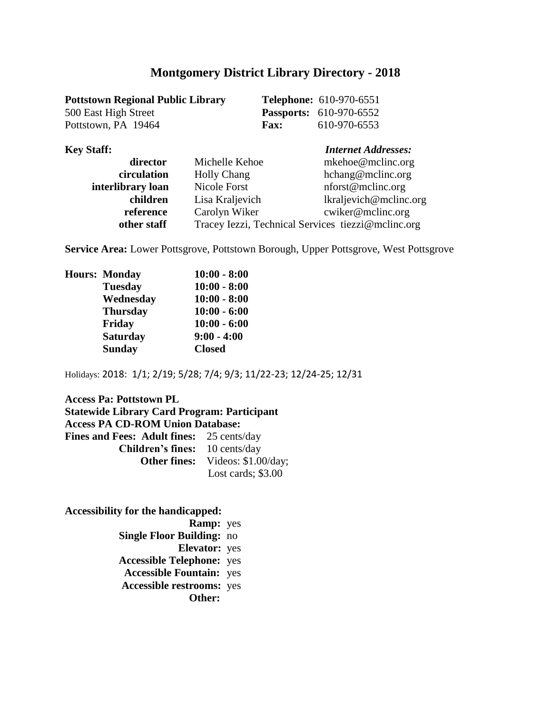| <b>Pottstown Regional Public Library</b> |             | <b>Telephone:</b> 610-970-6551 |
|------------------------------------------|-------------|--------------------------------|
| 500 East High Street                     |             | <b>Passports:</b> 610-970-6552 |
| Pottstown, PA 19464                      | <b>Fax:</b> | 610-970-6553                   |

| <b>Key Staff:</b> |                                                    | <b>Internet Addresses:</b> |
|-------------------|----------------------------------------------------|----------------------------|
| director          | Michelle Kehoe                                     | mkehoe@mclinc.org          |
| circulation       | <b>Holly Chang</b>                                 | hchang@mclinc.org          |
| interlibrary loan | <b>Nicole Forst</b>                                | nforst@mclinc.org          |
| children          | Lisa Kraljevich                                    | lkraljevich@mclinc.org     |
| reference         | Carolyn Wiker                                      | cwiker@mclinc.org          |
| other staff       | Tracey Iezzi, Technical Services tiezzi@mclinc.org |                            |

**Service Area:** Lower Pottsgrove, Pottstown Borough, Upper Pottsgrove, West Pottsgrove

| <b>Hours: Monday</b> | $10:00 - 8:00$ |
|----------------------|----------------|
| <b>Tuesday</b>       | $10:00 - 8:00$ |
| Wednesday            | $10:00 - 8:00$ |
| <b>Thursday</b>      | $10:00 - 6:00$ |
| Friday               | $10:00 - 6:00$ |
| <b>Saturday</b>      | $9:00 - 4:00$  |
| <b>Sunday</b>        | <b>Closed</b>  |
|                      |                |

Holidays: 2018: 1/1; 2/19; 5/28; 7/4; 9/3; 11/22-23; 12/24-25; 12/31

#### **Access Pa: Pottstown PL Statewide Library Card Program: Participant Access PA CD-ROM Union Database: Fines and Fees: Adult fines:** 25 cents/day  **Children's fines:** 10 cents/day **Other fines:** Videos: \$1.00/day; Lost cards; \$3.00

**Accessibility for the handicapped:** 

 **Ramp:** yes  **Single Floor Building:** no  **Elevator:** yes **Accessible Telephone:** yes **Accessible Fountain:** yes  **Accessible restrooms:** yes **Other:**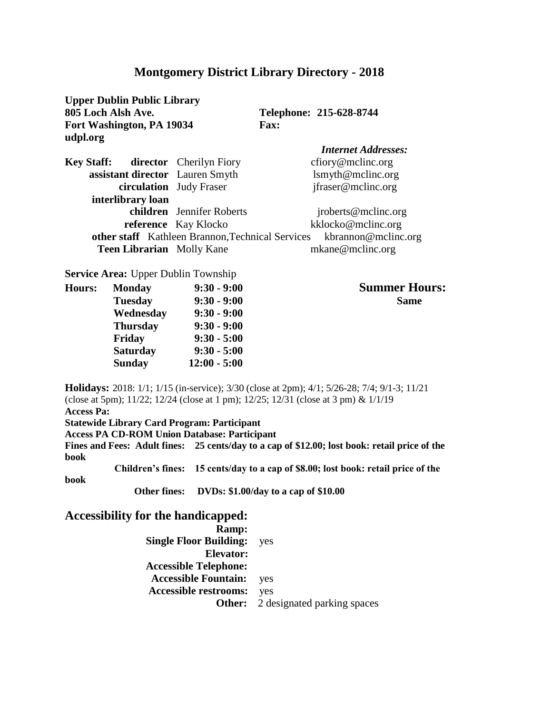**Upper Dublin Public Library 805 Loch Alsh Ave. Telephone: 215-628-8744 Fort Washington, PA 19034 Fax: udpl.org**

|                                           |                                                  | <b>Internet Addresses:</b> |
|-------------------------------------------|--------------------------------------------------|----------------------------|
| <b>Key Staff:</b> director Cherilyn Fiory |                                                  | cfiory@mclinc.org          |
| assistant director Lauren Smyth           |                                                  | lsmyth@mcline.org          |
|                                           | circulation Judy Fraser                          | jfraser@mclinc.org         |
| interlibrary loan                         |                                                  |                            |
|                                           | children Jennifer Roberts                        | jroberts@mclinc.org        |
|                                           | reference Kay Klocko                             | kklocko@mclinc.org         |
|                                           | other staff Kathleen Brannon, Technical Services | kbrannon@mclinc.org        |
| <b>Teen Librarian</b> Molly Kane          |                                                  | mkane@mclinc.org           |

**Service Area:** Upper Dublin Township

|                 | $9:30 - 9:00$  | <b>Summer Ho</b> |
|-----------------|----------------|------------------|
| <b>Tuesday</b>  | $9:30 - 9:00$  | <b>Same</b>      |
| Wednesday       | $9:30 - 9:00$  |                  |
| <b>Thursday</b> | $9:30 - 9:00$  |                  |
| Friday          | $9:30 - 5:00$  |                  |
| <b>Saturday</b> | $9:30 - 5:00$  |                  |
| <b>Sunday</b>   | $12:00 - 5:00$ |                  |
|                 | <b>Monday</b>  |                  |

 $Summer Hours:$ 

**Holidays:** 2018: 1/1; 1/15 (in-service); 3/30 (close at 2pm); 4/1; 5/26-28; 7/4; 9/1-3; 11/21 (close at 5pm); 11/22; 12/24 (close at 1 pm); 12/25; 12/31 (close at 3 pm) & 1/1/19 **Access Pa: Statewide Library Card Program: Participant Access PA CD-ROM Union Database: Participant Fines and Fees: Adult fines: 25 cents/day to a cap of \$12.00; lost book: retail price of the book Children's fines: 15 cents/day to a cap of \$8.00; lost book: retail price of the book Other fines: DVDs: \$1.00/day to a cap of \$10.00**

**Accessibility for the handicapped:** 

 **Ramp: Single Floor Building:** yes **Elevator: Accessible Telephone: Accessible Fountain:** yes  **Accessible restrooms:** yes **Other:** 2 designated parking spaces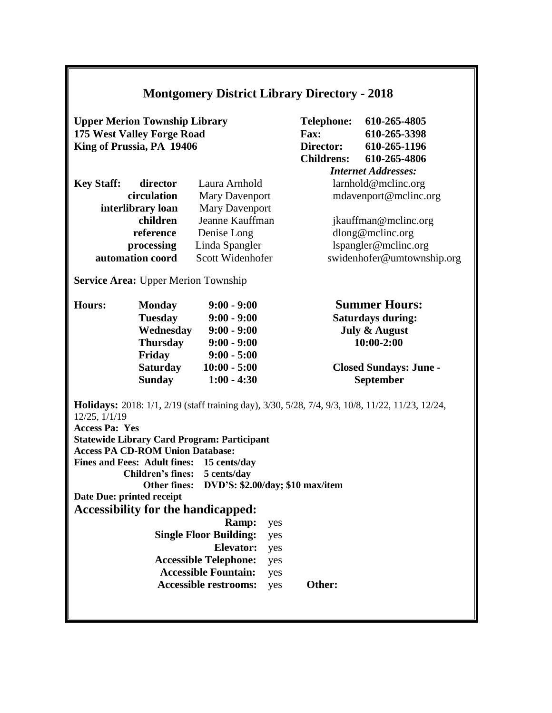| <b>Montgomery District Library Directory - 2018</b>                                                                                                                                                                                                                                                                                                                                                                                                                             |                                                                                                               |                                                                                                                      |                                                                                                                                                |                                                                    |                                                                                                                                              |
|---------------------------------------------------------------------------------------------------------------------------------------------------------------------------------------------------------------------------------------------------------------------------------------------------------------------------------------------------------------------------------------------------------------------------------------------------------------------------------|---------------------------------------------------------------------------------------------------------------|----------------------------------------------------------------------------------------------------------------------|------------------------------------------------------------------------------------------------------------------------------------------------|--------------------------------------------------------------------|----------------------------------------------------------------------------------------------------------------------------------------------|
| <b>Upper Merion Township Library</b><br>175 West Valley Forge Road<br>King of Prussia, PA 19406                                                                                                                                                                                                                                                                                                                                                                                 |                                                                                                               |                                                                                                                      |                                                                                                                                                | <b>Telephone:</b><br><b>Fax:</b><br>Director:<br><b>Childrens:</b> | 610-265-4805<br>610-265-3398<br>610-265-1196<br>610-265-4806                                                                                 |
| director<br>Laura Arnhold<br><b>Key Staff:</b><br>circulation<br><b>Mary Davenport</b><br><b>Mary Davenport</b><br>interlibrary loan<br>Jeanne Kauffman<br>children<br>reference<br>Denise Long<br>Linda Spangler<br>processing                                                                                                                                                                                                                                                 |                                                                                                               |                                                                                                                      | <b>Internet Addresses:</b><br>larnhold@mclinc.org<br>mdavenport@mclinc.org<br>jkauffman@mclinc.org<br>dlong@mclinc.org<br>lspangler@mclinc.org |                                                                    |                                                                                                                                              |
|                                                                                                                                                                                                                                                                                                                                                                                                                                                                                 | automation coord                                                                                              | Scott Widenhofer                                                                                                     |                                                                                                                                                |                                                                    | swidenhofer@umtownship.org                                                                                                                   |
| <b>Service Area: Upper Merion Township</b>                                                                                                                                                                                                                                                                                                                                                                                                                                      |                                                                                                               |                                                                                                                      |                                                                                                                                                |                                                                    |                                                                                                                                              |
| <b>Hours:</b>                                                                                                                                                                                                                                                                                                                                                                                                                                                                   | <b>Monday</b><br><b>Tuesday</b><br>Wednesday<br><b>Thursday</b><br>Friday<br><b>Saturday</b><br><b>Sunday</b> | $9:00 - 9:00$<br>$9:00 - 9:00$<br>$9:00 - 9:00$<br>$9:00 - 9:00$<br>$9:00 - 5:00$<br>$10:00 - 5:00$<br>$1:00 - 4:30$ |                                                                                                                                                |                                                                    | <b>Summer Hours:</b><br><b>Saturdays during:</b><br><b>July &amp; August</b><br>$10:00 - 2:00$<br><b>Closed Sundays: June -</b><br>September |
| <b>Holidays:</b> 2018: 1/1, 2/19 (staff training day), 3/30, 5/28, 7/4, 9/3, 10/8, 11/22, 11/23, 12/24,<br>12/25, 1/1/19<br><b>Access Pa: Yes</b><br><b>Statewide Library Card Program: Participant</b><br><b>Access PA CD-ROM Union Database:</b><br>Fines and Fees: Adult fines: 15 cents/day<br><b>Children's fines:</b><br>5 cents/day<br><b>Other fines:</b><br>DVD'S: \$2.00/day; \$10 max/item<br>Date Due: printed receipt<br><b>Accessibility for the handicapped:</b> |                                                                                                               |                                                                                                                      |                                                                                                                                                |                                                                    |                                                                                                                                              |
| Ramp:<br><b>Single Floor Building:</b><br><b>Elevator:</b><br><b>Accessible Telephone:</b><br><b>Accessible Fountain:</b>                                                                                                                                                                                                                                                                                                                                                       |                                                                                                               |                                                                                                                      | yes<br>yes<br>yes<br>yes<br>yes                                                                                                                |                                                                    |                                                                                                                                              |
| <b>Accessible restrooms:</b><br>Other:<br>yes                                                                                                                                                                                                                                                                                                                                                                                                                                   |                                                                                                               |                                                                                                                      |                                                                                                                                                |                                                                    |                                                                                                                                              |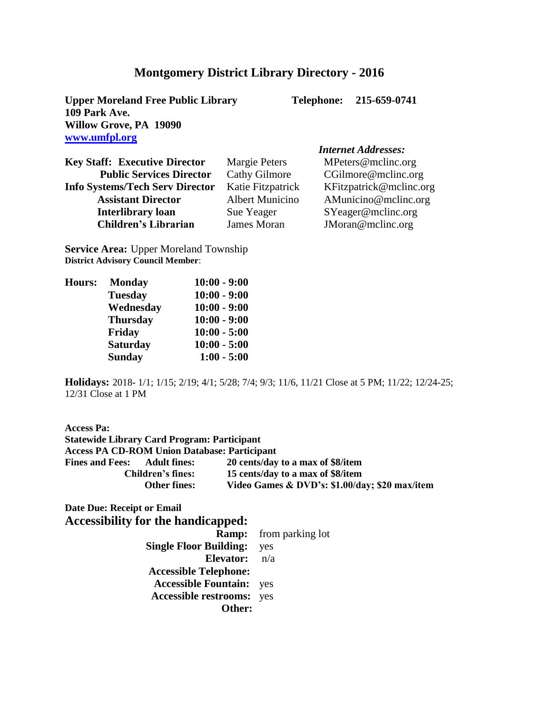**Upper Moreland Free Public Library Telephone: 215-659-0741 109 Park Ave. Willow Grove, PA 19090 www.umfpl.org** 

#### *Internet Addresses:* **Key Staff: Executive Director** Margie Peters MPeters@mclinc.org **Public Services Director** Cathy Gilmore CGilmore@mclinc.org **Info Systems/Tech Serv Director Katie Fitzpatrick KFitzpatrick@mclinc.org**<br>**Assistant Director Albert Municino AMunicino@mclinc.org** Assistant Director **Albert Municino** AMunicino@mclinc.org **The Interlibrary loan Sue Yeager** SYeager@mclinc.org<br> **Children's Librarian** James Moran **JMoran@mclinc.org** James Moran **JMoran** @mclinc.org

**Service Area:** Upper Moreland Township **District Advisory Council Member**:

| <b>Hours:</b> | <b>Monday</b>   | $10:00 - 9:00$ |
|---------------|-----------------|----------------|
|               | <b>Tuesday</b>  | $10:00 - 9:00$ |
|               | Wednesday       | $10:00 - 9:00$ |
|               | <b>Thursday</b> | $10:00 - 9:00$ |
|               | Friday          | $10:00 - 5:00$ |
|               | <b>Saturday</b> | $10:00 - 5:00$ |
|               | <b>Sunday</b>   | $1:00 - 5:00$  |

**Holidays:** 2018- 1/1; 1/15; 2/19; 4/1; 5/28; 7/4; 9/3; 11/6, 11/21 Close at 5 PM; 11/22; 12/24-25; 12/31 Close at 1 PM

| <b>Access Pa:</b>                                   |                                                |
|-----------------------------------------------------|------------------------------------------------|
| <b>Statewide Library Card Program: Participant</b>  |                                                |
| <b>Access PA CD-ROM Union Database: Participant</b> |                                                |
| <b>Fines and Fees:</b><br><b>Adult fines:</b>       | 20 cents/day to a max of \$8/item              |
| <b>Children's fines:</b>                            | 15 cents/day to a max of \$8/item              |
| <b>Other fines:</b>                                 | Video Games & DVD's: \$1.00/day; \$20 max/item |

**Date Due: Receipt or Email Accessibility for the handicapped:**

|                                  | <b>Ramp:</b> from parking lot |
|----------------------------------|-------------------------------|
| <b>Single Floor Building:</b>    | yes                           |
| <b>Elevator:</b> $n/a$           |                               |
| <b>Accessible Telephone:</b>     |                               |
| <b>Accessible Fountain:</b> yes  |                               |
| <b>Accessible restrooms:</b> yes |                               |
| Other:                           |                               |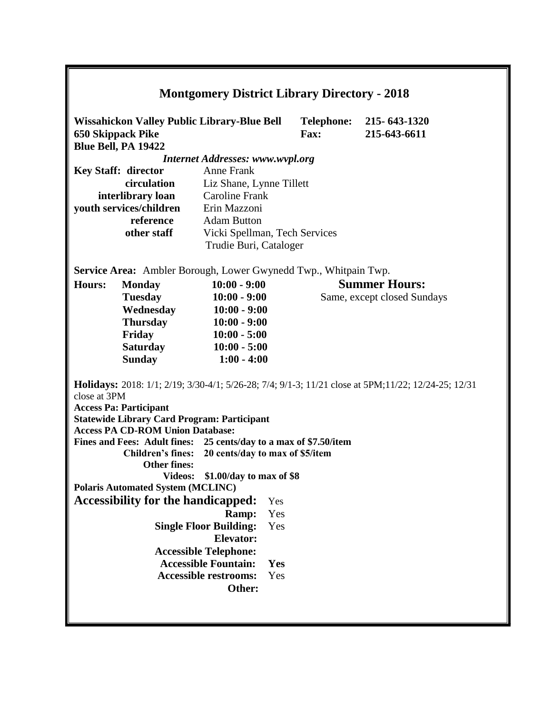| <b>Montgomery District Library Directory - 2018</b>                                                                                                          |                                                                        |                                         |     |             |                                         |
|--------------------------------------------------------------------------------------------------------------------------------------------------------------|------------------------------------------------------------------------|-----------------------------------------|-----|-------------|-----------------------------------------|
| Wissahickon Valley Public Library-Blue Bell<br><b>650 Skippack Pike</b><br>Blue Bell, PA 19422                                                               |                                                                        |                                         |     | <b>Fax:</b> | Telephone: 215-643-1320<br>215-643-6611 |
|                                                                                                                                                              |                                                                        | <b>Internet Addresses: www.wvpl.org</b> |     |             |                                         |
|                                                                                                                                                              | <b>Key Staff: director</b>                                             | <b>Anne Frank</b>                       |     |             |                                         |
|                                                                                                                                                              | circulation                                                            | Liz Shane, Lynne Tillett                |     |             |                                         |
|                                                                                                                                                              | interlibrary loan                                                      | <b>Caroline Frank</b>                   |     |             |                                         |
|                                                                                                                                                              | youth services/children                                                | Erin Mazzoni                            |     |             |                                         |
|                                                                                                                                                              | reference                                                              | <b>Adam Button</b>                      |     |             |                                         |
|                                                                                                                                                              | other staff                                                            | Vicki Spellman, Tech Services           |     |             |                                         |
|                                                                                                                                                              |                                                                        | Trudie Buri, Cataloger                  |     |             |                                         |
|                                                                                                                                                              |                                                                        |                                         |     |             |                                         |
|                                                                                                                                                              | <b>Service Area:</b> Ambler Borough, Lower Gwynedd Twp., Whitpain Twp. |                                         |     |             |                                         |
| <b>Hours:</b>                                                                                                                                                | <b>Monday</b>                                                          | $10:00 - 9:00$                          |     |             | <b>Summer Hours:</b>                    |
|                                                                                                                                                              | <b>Tuesday</b>                                                         | $10:00 - 9:00$                          |     |             | Same, except closed Sundays             |
|                                                                                                                                                              | Wednesday                                                              | $10:00 - 9:00$                          |     |             |                                         |
|                                                                                                                                                              | <b>Thursday</b>                                                        | $10:00 - 9:00$                          |     |             |                                         |
|                                                                                                                                                              | Friday                                                                 | $10:00 - 5:00$                          |     |             |                                         |
|                                                                                                                                                              | Saturday<br>$10:00 - 5:00$                                             |                                         |     |             |                                         |
|                                                                                                                                                              | <b>Sunday</b>                                                          | $1:00 - 4:00$                           |     |             |                                         |
| <b>Holidays:</b> 2018: 1/1; 2/19; 3/30-4/1; 5/26-28; 7/4; 9/1-3; 11/21 close at 5PM; 11/22; 12/24-25; 12/31<br>close at 3PM<br><b>Access Pa: Participant</b> |                                                                        |                                         |     |             |                                         |
|                                                                                                                                                              | <b>Statewide Library Card Program: Participant</b>                     |                                         |     |             |                                         |
|                                                                                                                                                              | <b>Access PA CD-ROM Union Database:</b>                                |                                         |     |             |                                         |
|                                                                                                                                                              | Fines and Fees: Adult fines: 25 cents/day to a max of \$7.50/item      |                                         |     |             |                                         |
|                                                                                                                                                              | Children's fines: 20 cents/day to max of \$5/item                      |                                         |     |             |                                         |
|                                                                                                                                                              | <b>Other fines:</b>                                                    |                                         |     |             |                                         |
|                                                                                                                                                              | <b>Videos:</b>                                                         | \$1.00/day to max of \$8                |     |             |                                         |
|                                                                                                                                                              | <b>Polaris Automated System (MCLINC)</b>                               |                                         |     |             |                                         |
| <b>Accessibility for the handicapped:</b>                                                                                                                    |                                                                        | Yes                                     |     |             |                                         |
| Ramp:                                                                                                                                                        |                                                                        | Yes                                     |     |             |                                         |
| <b>Single Floor Building:</b>                                                                                                                                |                                                                        |                                         | Yes |             |                                         |
| <b>Elevator:</b>                                                                                                                                             |                                                                        |                                         |     |             |                                         |
| <b>Accessible Telephone:</b>                                                                                                                                 |                                                                        |                                         |     |             |                                         |
| <b>Accessible Fountain:</b>                                                                                                                                  |                                                                        |                                         | Yes |             |                                         |
|                                                                                                                                                              |                                                                        | <b>Accessible restrooms:</b>            | Yes |             |                                         |
|                                                                                                                                                              | Other:                                                                 |                                         |     |             |                                         |
|                                                                                                                                                              |                                                                        |                                         |     |             |                                         |